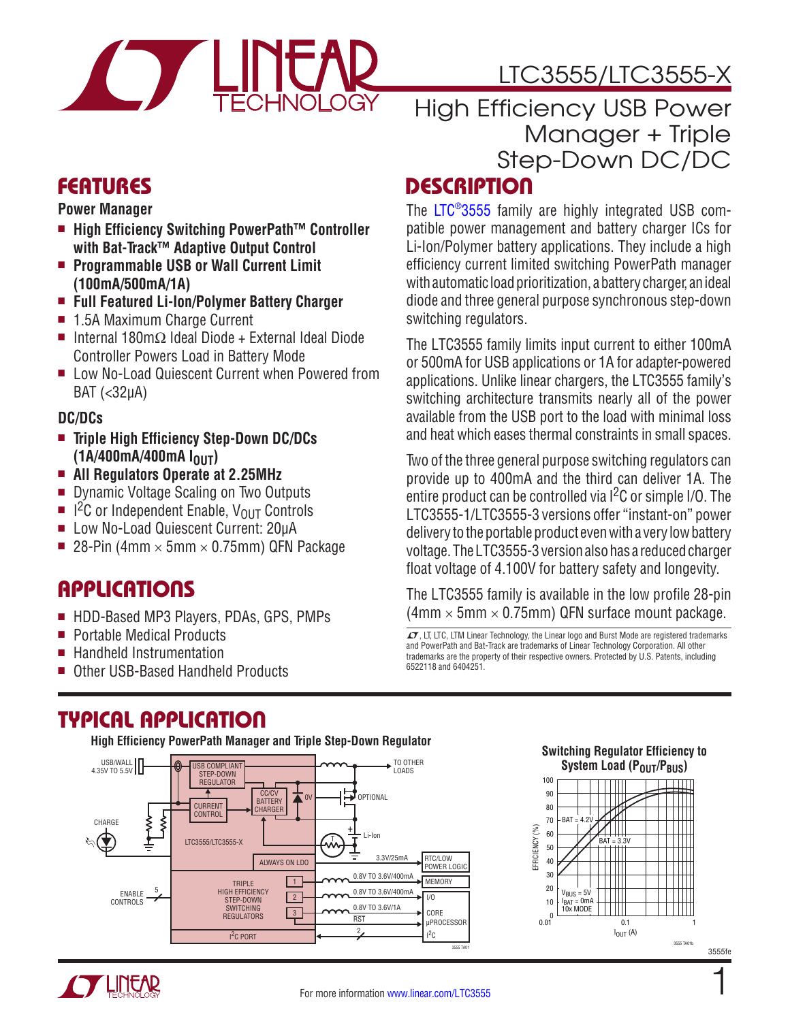

# LTC3555/LTC3555-X

# FEATURES

**Power Manager**

- High Efficiency Switching PowerPath<sup>™</sup> Controller **with Bat-Track™ Adaptive Output Control**
- <sup>n</sup> **Programmable USB or Wall Current Limit (100mA/500mA/1A)**
- <sup>n</sup> **Full Featured Li-Ion/Polymer Battery Charger**
- 1.5A Maximum Charge Current
- $\blacksquare$  Internal 180mΩ Ideal Diode + External Ideal Diode Controller Powers Load in Battery Mode
- Low No-Load Quiescent Current when Powered from BAT (<32µA)

### **DC/DCs**

- **Triple High Efficiency Step-Down DC/DCs (1A/400mA/400mA IOUT)**
- <sup>n</sup> **All Regulators Operate at 2.25MHz**
- **n** Dynamic Voltage Scaling on Two Outputs
- $\blacksquare$  1<sup>2</sup>C or Independent Enable, V<sub>OUT</sub> Controls
- Low No-Load Quiescent Current: 20µA
- **28-Pin (4mm**  $\times$  **5mm**  $\times$  **0.75mm) QFN Package**

## **APPLICATIONS**

- HDD-Based MP3 Players, PDAs, GPS, PMPs
- Portable Medical Products
- Handheld Instrumentation
- Other USB-Based Handheld Products

# High Efficiency USB Power Manager + Triple Step-Down DC/DC

## **DESCRIPTION**

The [LTC®3555](http://www.linear.com/LTC3555) family are highly integrated USB compatible power management and battery charger ICs for Li-Ion/Polymer battery applications. They include a high efficiency current limited switching PowerPath manager with automatic load prioritization, a battery charger, an ideal diode and three general purpose synchronous step-down switching regulators.

The LTC3555 family limits input current to either 100mA or 500mA for USB applications or 1A for adapter-powered applications. Unlike linear chargers, the LTC3555 family's switching architecture transmits nearly all of the power available from the USB port to the load with minimal loss and heat which eases thermal constraints in small spaces.

Two of the three general purpose switching regulators can provide up to 400mA and the third can deliver 1A. The entire product can be controlled via  $1^2C$  or simple I/O. The LTC3555-1/LTC3555-3 versions offer "instant-on" power delivery to the portable product even with a very low battery voltage. The LTC3555-3 version also has a reduced charger float voltage of 4.100V for battery safety and longevity.

The LTC3555 family is available in the low profile 28-pin  $(4mm \times 5mm \times 0.75mm)$  QFN surface mount package.

 $I$ , LT, LTC, LTM Linear Technology, the Linear logo and Burst Mode are registered trademarks and PowerPath and Bat-Track are trademarks of Linear Technology Corporation. All other trademarks are the property of their respective owners. Protected by U.S. Patents, including 6522118 and 6404251.

## TYPICAL APPLICATION

**High Efficiency PowerPath Manager and Triple Step-Down Regulator**





1

3555fe

3555 TA01b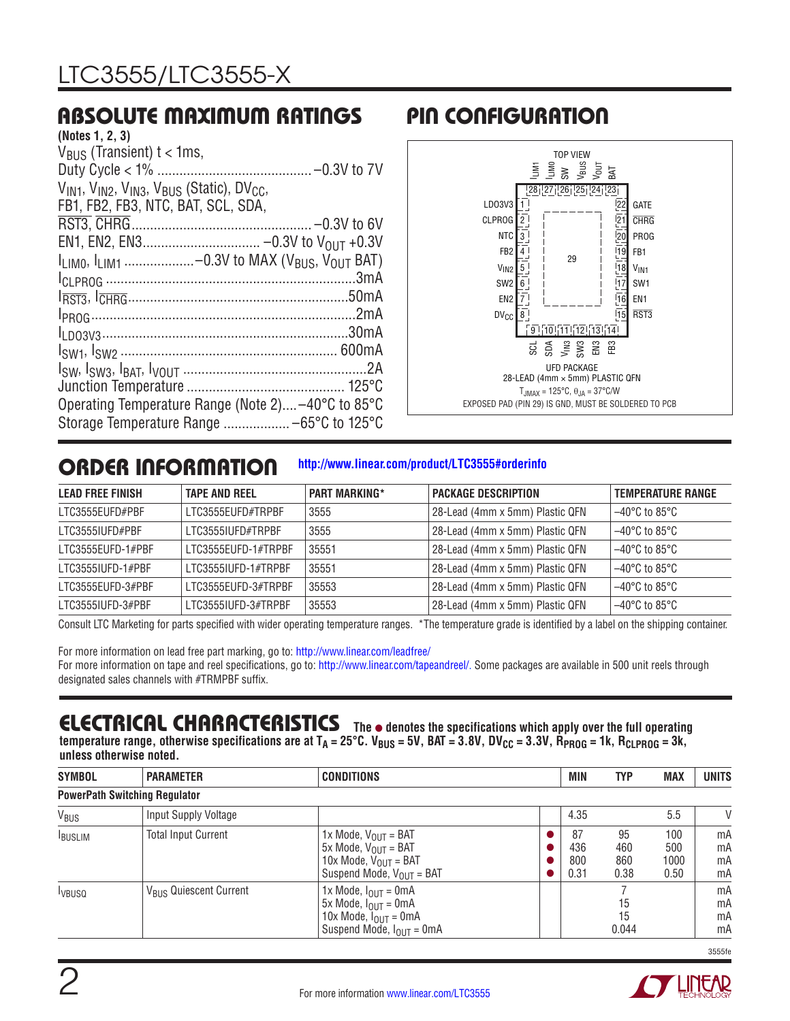## ABSOLUTE MAXIMUM RATINGS

# PIN CONFIGURATION



## ORDER INFORMATION

#### **<http://www.linear.com/product/LTC3555#orderinfo>**

| <b>LEAD FREE FINISH</b> | <b>TAPE AND REEL</b> | <b>PART MARKING*</b> | <b>PACKAGE DESCRIPTION</b>      | <b>TEMPERATURE RANGE</b>           |
|-------------------------|----------------------|----------------------|---------------------------------|------------------------------------|
| LTC3555EUFD#PBF         | LTC3555EUFD#TRPBF    | 3555                 | 28-Lead (4mm x 5mm) Plastic QFN | $-40^{\circ}$ C to 85°C            |
| LTC3555IUFD#PBF         | LTC3555IUFD#TRPBF    | 3555                 | 28-Lead (4mm x 5mm) Plastic QFN | $-40^{\circ}$ C to 85°C            |
| LTC3555EUFD-1#PBF       | LTC3555EUFD-1#TRPBF  | 35551                | 28-Lead (4mm x 5mm) Plastic QFN | $-40^{\circ}$ C to 85°C            |
| LTC3555IUFD-1#PBF       | LTC3555IUFD-1#TRPBF  | 35551                | 28-Lead (4mm x 5mm) Plastic QFN | $-40^{\circ}$ C to 85 $^{\circ}$ C |
| I TC3555FUFD-3#PBF      | I TC3555FUFD-3#TRPBF | 35553                | 28-Lead (4mm x 5mm) Plastic QFN | $-40^{\circ}$ C to 85 $^{\circ}$ C |
| LTC3555IUFD-3#PBF       | LTC3555IUFD-3#TRPBF  | 35553                | 28-Lead (4mm x 5mm) Plastic QFN | $-40^{\circ}$ C to 85 $^{\circ}$ C |

Consult LTC Marketing for parts specified with wider operating temperature ranges. \*The temperature grade is identified by a label on the shipping container.

For more information on lead free part marking, go to: <http://www.linear.com/leadfree/>

For more information on tape and reel specifications, go to: [http://www.linear.com/tapeandreel/.](http://www.linear.com/tapeandreel/) Some packages are available in 500 unit reels through designated sales channels with #TRMPBF suffix.

## **ELECTRICAL CHARACTERISTICS** The  $\bullet$  denotes the specifications which apply over the full operating

temperature range, otherwise specifications are at T<sub>A</sub> = 25°C. V<sub>BUS</sub> = 5V, BAT = 3.8V, DV<sub>CC</sub> = 3.3V, R<sub>PROG</sub> = 1k, R<sub>CLPROG</sub> = 3k, **unless otherwise noted.**

| <b>SYMBOL</b>    | <b>PARAMETER</b>                     | <b>CONDITIONS</b>                                                                                                                                                | <b>MIN</b>               | <b>TYP</b>               | <b>MAX</b>                 | <b>UNITS</b>         |
|------------------|--------------------------------------|------------------------------------------------------------------------------------------------------------------------------------------------------------------|--------------------------|--------------------------|----------------------------|----------------------|
|                  | <b>PowerPath Switching Regulator</b> |                                                                                                                                                                  |                          |                          |                            |                      |
| V <sub>BUS</sub> | Input Supply Voltage                 |                                                                                                                                                                  | 4.35                     |                          | 5.5                        | V                    |
| <b>IBUSLIM</b>   | <b>Total Input Current</b>           | 1x Mode, $V_{OUT} = BAT$<br>$5x$ Mode, $V_{OUIT} = BAT$<br>10x Mode, $V_{OIII}$ = BAT<br>Suspend Mode, $V_{OUT}$ = BAT                                           | 87<br>436<br>800<br>0.31 | 95<br>460<br>860<br>0.38 | 100<br>500<br>1000<br>0.50 | mA<br>mA<br>mA<br>mA |
| <b>I</b> VBUSQ   | V <sub>BUS</sub> Quiescent Current   | 1x Mode, $I_{\text{OUT}} = 0 \text{mA}$<br>5x Mode, $I_{OIII} = 0mA$<br>10x Mode, $I_{\text{OUT}} = 0 \text{mA}$<br>Suspend Mode, $I_{\text{OUT}} = 0 \text{mA}$ |                          | 15<br>15<br>0.044        |                            | mA<br>mA<br>mA<br>mA |

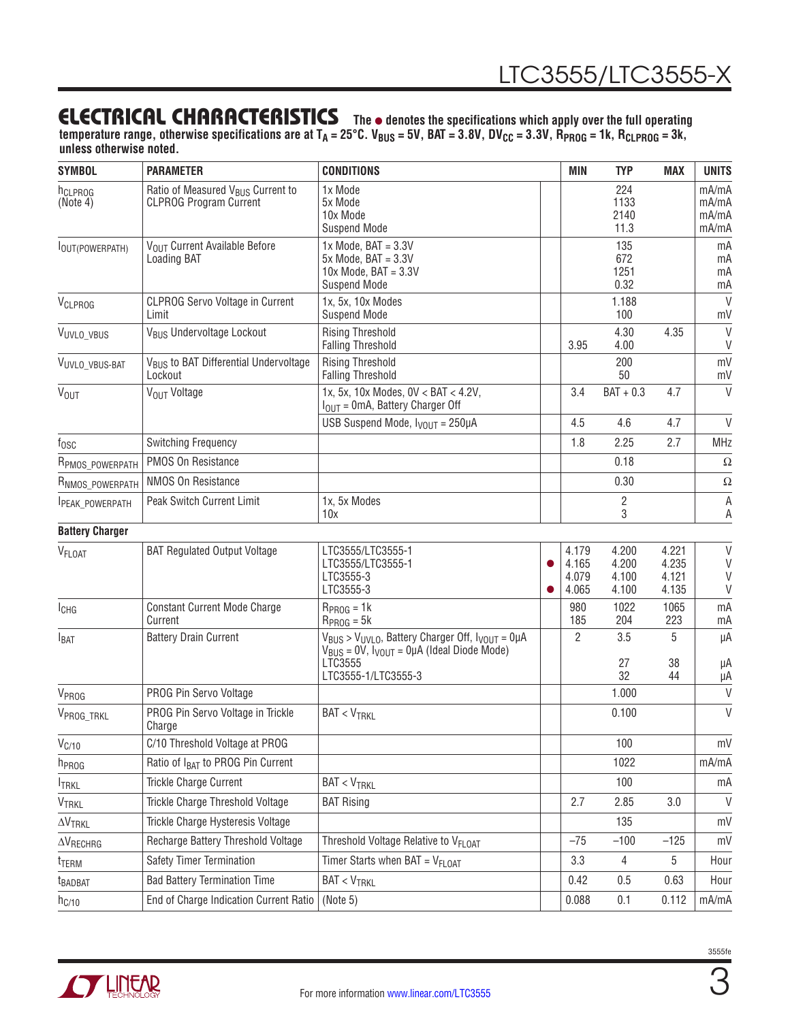temperature range, otherwise specifications are at T<sub>A</sub> = 25°C. V<sub>BUS</sub> = 5V, BAT = 3.8V, DV<sub>CC</sub> = 3.3V, R<sub>PROG</sub> = 1k, R<sub>CLPROG</sub> = 3k, **unless otherwise noted.**

| <b>SYMBOL</b>                   | <b>PARAMETER</b>                                                               | <b>CONDITIONS</b>                                                                                                                                              |  | <b>MIN</b>                       | <b>TYP</b>                       | <b>MAX</b>                       | <b>UNITS</b>                     |
|---------------------------------|--------------------------------------------------------------------------------|----------------------------------------------------------------------------------------------------------------------------------------------------------------|--|----------------------------------|----------------------------------|----------------------------------|----------------------------------|
| h <sub>CLPROG</sub><br>(Note 4) | Ratio of Measured V <sub>BUS</sub> Current to<br><b>CLPROG Program Current</b> | 1x Mode<br>5x Mode<br>10x Mode<br><b>Suspend Mode</b>                                                                                                          |  |                                  | 224<br>1133<br>2140<br>11.3      |                                  | mA/mA<br>mA/mA<br>mA/mA<br>mA/mA |
| lout(POWERPATH)                 | VOUT Current Available Before<br>Loading BAT                                   | $1x$ Mode, BAT = $3.3V$<br>$5x$ Mode, $BAT = 3.3V$<br>$10x$ Mode, BAT = $3.3V$<br><b>Suspend Mode</b>                                                          |  |                                  | 135<br>672<br>1251<br>0.32       |                                  | mA<br>mA<br>mA<br>mA             |
| VCLPROG                         | <b>CLPROG Servo Voltage in Current</b><br>Limit                                | 1x, 5x, 10x Modes<br><b>Suspend Mode</b>                                                                                                                       |  |                                  | 1.188<br>100                     |                                  | $\mathsf{V}$<br>mV               |
| VUVLO_VBUS                      | V <sub>BUS</sub> Undervoltage Lockout                                          | <b>Rising Threshold</b><br><b>Falling Threshold</b>                                                                                                            |  | 3.95                             | 4.30<br>4.00                     | 4.35                             | $\vee$<br>V                      |
| VUVLO_VBUS-BAT                  | V <sub>BUS</sub> to BAT Differential Undervoltage<br>Lockout                   | <b>Rising Threshold</b><br><b>Falling Threshold</b>                                                                                                            |  |                                  | 200<br>50                        |                                  | mV<br>mV                         |
| <b>V<sub>OUT</sub></b>          | V <sub>OUT</sub> Voltage                                                       | 1x, 5x, 10x Modes, 0V < BAT < 4.2V,<br>$IOUT = 0mA$ , Battery Charger Off                                                                                      |  | 3.4                              | $BAT + 0.3$                      | 4.7                              | $\vee$                           |
|                                 |                                                                                | USB Suspend Mode, $I_{VOIII}$ = 250µA                                                                                                                          |  | 4.5                              | 4.6                              | 4.7                              | $\vee$                           |
| $f_{\rm OSC}$                   | <b>Switching Frequency</b>                                                     |                                                                                                                                                                |  | 1.8                              | 2.25                             | 2.7                              | <b>MHz</b>                       |
| R <sub>PMOS</sub> POWERPATH     | PMOS On Resistance                                                             |                                                                                                                                                                |  |                                  | 0.18                             |                                  | $\Omega$                         |
| RNMOS_POWERPATH                 | NMOS On Resistance                                                             |                                                                                                                                                                |  |                                  | 0.30                             |                                  | $\Omega$                         |
| <b>IPEAK POWERPATH</b>          | Peak Switch Current Limit                                                      | 1x, 5x Modes<br>10x                                                                                                                                            |  |                                  | $\overline{2}$<br>3              |                                  | A<br>A                           |
| <b>Battery Charger</b>          |                                                                                |                                                                                                                                                                |  |                                  |                                  |                                  |                                  |
| V <sub>FLOAT</sub>              | <b>BAT Regulated Output Voltage</b>                                            | LTC3555/LTC3555-1<br>LTC3555/LTC3555-1<br>LTC3555-3<br>LTC3555-3                                                                                               |  | 4.179<br>4.165<br>4.079<br>4.065 | 4.200<br>4.200<br>4.100<br>4.100 | 4.221<br>4.235<br>4.121<br>4.135 | V<br>V<br>V<br>V                 |
| ICHG                            | <b>Constant Current Mode Charge</b><br>Current                                 | $RPROG = 1k$<br>$R_{PROG} = 5k$                                                                                                                                |  | 980<br>185                       | 1022<br>204                      | 1065<br>223                      | mA<br>mA                         |
| $I_{BAT}$                       | <b>Battery Drain Current</b>                                                   | $V_{BUS}$ > $V_{UVLO}$ , Battery Charger Off, $V_{VOUT} = 0\mu A$<br>$V_{BUS} = 0V$ , $V_{VOUT} = 0\mu A$ (Ideal Diode Mode)<br>LTC3555<br>LTC3555-1/LTC3555-3 |  | 2                                | 3.5<br>27<br>32                  | 5<br>38<br>44                    | μA<br>μA<br>μA                   |
| V <sub>PROG</sub>               | PROG Pin Servo Voltage                                                         |                                                                                                                                                                |  |                                  | 1.000                            |                                  | $\vee$                           |
| VPROG_TRKL                      | PROG Pin Servo Voltage in Trickle<br>Charge                                    | <b>BAT &lt; VTRKL</b>                                                                                                                                          |  |                                  | 0.100                            |                                  | V                                |
| V <sub>C/10</sub>               | C/10 Threshold Voltage at PROG                                                 |                                                                                                                                                                |  |                                  | 100                              |                                  | mV                               |
| <b>h</b> <sub>ROG</sub>         | Ratio of I <sub>BAT</sub> to PROG Pin Current                                  |                                                                                                                                                                |  |                                  | 1022                             |                                  | mA/mA                            |
| <b>TRKL</b>                     | Trickle Charge Current                                                         | $BAT < V_{TRKL}$                                                                                                                                               |  |                                  | 100                              |                                  | mA                               |
| <b>VTRKL</b>                    | Trickle Charge Threshold Voltage                                               | <b>BAT Rising</b>                                                                                                                                              |  | 2.7                              | 2.85                             | 3.0                              | $\vee$                           |
| $\Delta V_{\text{TRKL}}$        | Trickle Charge Hysteresis Voltage                                              |                                                                                                                                                                |  |                                  | 135                              |                                  | mV                               |
| $\Delta V_{RECHRG}$             | Recharge Battery Threshold Voltage                                             | Threshold Voltage Relative to V <sub>FLOAT</sub>                                                                                                               |  | $-75$                            | $-100$                           | $-125$                           | mV                               |
| t <sub>TERM</sub>               | Safety Timer Termination                                                       | Timer Starts when BAT = $V_{FLOAT}$                                                                                                                            |  | 3.3                              | 4                                | 5                                | Hour                             |
| t <sub>BADBAT</sub>             | <b>Bad Battery Termination Time</b>                                            | $BAT < V_{TRKL}$                                                                                                                                               |  | 0.42                             | 0.5                              | 0.63                             | Hour                             |
| $h_{C/10}$                      | End of Charge Indication Current Ratio                                         | (Note 5)                                                                                                                                                       |  |                                  |                                  | 0.112                            | mA/mA                            |



3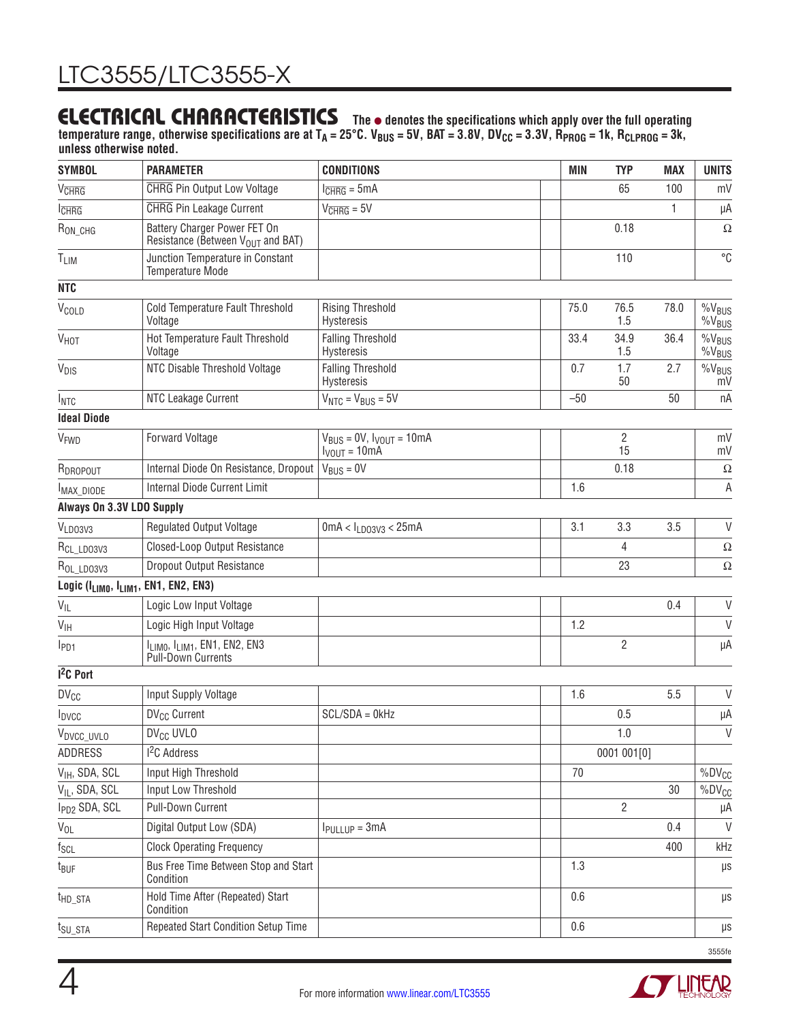temperature range, otherwise specifications are at T<sub>A</sub> = 25°C. V<sub>BUS</sub> = 5V, BAT = 3.8V, DV<sub>CC</sub> = 3.3V, R<sub>PROG</sub> = 1k, R<sub>CLPROG</sub> = 3k, **unless otherwise noted.**

| <b>SYMBOL</b>                                    | <b>PARAMETER</b>                                                                   | <b>CONDITIONS</b>                                       | <b>MIN</b> | <b>TYP</b>           | <b>MAX</b> | <b>UNITS</b>                     |
|--------------------------------------------------|------------------------------------------------------------------------------------|---------------------------------------------------------|------------|----------------------|------------|----------------------------------|
| V <sub>CHRG</sub>                                | <b>CHRG</b> Pin Output Low Voltage                                                 | $l_{\overline{CHRG}} = 5mA$                             |            | 65                   | 100        | mV                               |
| $I$ <sub>CHR<math>G</math></sub>                 | <b>CHRG</b> Pin Leakage Current                                                    | $V_{\overline{CHRG}} = 5V$                              |            |                      | 1          | μA                               |
| $R_{ON\_CHG}$                                    | Battery Charger Power FET On<br>Resistance (Between V <sub>OUT</sub> and BAT)      |                                                         |            | 0.18                 |            | $\Omega$                         |
| T <sub>LIM</sub>                                 | Junction Temperature in Constant<br>Temperature Mode                               |                                                         |            | 110                  |            | $\overline{C}$                   |
| <b>NTC</b>                                       |                                                                                    |                                                         |            |                      |            |                                  |
| V <sub>COLD</sub>                                | Cold Temperature Fault Threshold<br>Voltage                                        | <b>Rising Threshold</b><br>Hysteresis                   | 75.0       | 76.5<br>1.5          | 78.0       | $%V_{BUS}$<br>$\%V_{\text{BUS}}$ |
| <b>V<sub>HOT</sub></b>                           | Hot Temperature Fault Threshold<br>Voltage                                         | <b>Falling Threshold</b><br>Hysteresis                  | 33.4       | 34.9<br>1.5          | 36.4       | $%V_{BUS}$<br>$%V_{BUS}$         |
| V <sub>DIS</sub>                                 | NTC Disable Threshold Voltage                                                      | <b>Falling Threshold</b><br>Hysteresis                  | 0.7        | 1.7<br>50            | 2.7        | $\%V_{\text{BUS}}$<br>mV         |
| INTC                                             | NTC Leakage Current                                                                | $V_{NTC} = V_{BUS} = 5V$                                | $-50$      |                      | 50         | nA                               |
| <b>Ideal Diode</b>                               |                                                                                    |                                                         |            |                      |            |                                  |
| VFWD                                             | <b>Forward Voltage</b>                                                             | $V_{BUS} = 0V$ , $V_{VOUT} = 10mA$<br>$I_{VOUT} = 10mA$ |            | $\overline{2}$<br>15 |            | mV<br>mV                         |
| RDROPOUT                                         | Internal Diode On Resistance, Dropout                                              | $V_{BUS} = 0V$                                          |            | 0.18                 |            | $\Omega$                         |
| <b>Internal Diode Current Limit</b><br>MAX_DIODE |                                                                                    |                                                         | 1.6        |                      |            | А                                |
| Always On 3.3V LDO Supply                        |                                                                                    |                                                         |            |                      |            |                                  |
| VLD03V3                                          | <b>Regulated Output Voltage</b>                                                    | $0mA < I_{LD03V3} < 25mA$                               | 3.1        | 3.3                  | 3.5        | $\vee$                           |
| R <sub>CL_LDO3V3</sub>                           | Closed-Loop Output Resistance                                                      |                                                         |            | 4                    |            | $\Omega$                         |
| R <sub>OL_LDO3V3</sub>                           | <b>Dropout Output Resistance</b>                                                   |                                                         |            | 23                   |            | $\Omega$                         |
|                                                  | Logic (I <sub>LIMO</sub> , I <sub>LIM1</sub> , EN1, EN2, EN3)                      |                                                         |            |                      |            |                                  |
| $V_{\text{IL}}$                                  | Logic Low Input Voltage                                                            |                                                         |            |                      | 0.4        | $\mathsf{V}$                     |
| $V_{\text{IH}}$                                  | Logic High Input Voltage                                                           |                                                         | 1.2        |                      |            | $\vee$                           |
| I <sub>PD1</sub>                                 | I <sub>LIMO</sub> , I <sub>LIM1</sub> , EN1, EN2, EN3<br><b>Pull-Down Currents</b> |                                                         |            | $\overline{2}$       |            | μA                               |
| $12C$ Port                                       |                                                                                    |                                                         |            |                      |            |                                  |
| $DV_{CC}$                                        | Input Supply Voltage                                                               |                                                         | 1.6        |                      | 5.5        | $\vee$                           |
| I <sub>DVCC</sub>                                | DV <sub>CC</sub> Current                                                           | $SCL/SDA = OKHz$                                        |            | 0.5                  |            | μA                               |
| V <sub>DVCC_UVLO</sub>                           | DV <sub>CC</sub> UVLO                                                              |                                                         |            | 1.0                  |            | $\mathsf{V}$                     |
| ADDRESS                                          | <sup>2</sup> C Address                                                             |                                                         |            | 0001 001[0]          |            |                                  |
| V <sub>IH</sub> , SDA, SCL                       | Input High Threshold                                                               |                                                         | 70         |                      |            | $%DV_{CC}$                       |
| V <sub>IL</sub> , SDA, SCL                       | Input Low Threshold                                                                |                                                         |            |                      | 30         | %DV <sub>CC</sub>                |
| I <sub>PD2</sub> SDA, SCL                        | Pull-Down Current                                                                  |                                                         |            | $\overline{2}$       |            | μA                               |
| $V_{OL}$                                         | Digital Output Low (SDA)                                                           | I <sub>PULLUP</sub> = 3mA                               |            |                      | 0.4        | $\vee$                           |
| $f_{\mathsf{SCL}}$                               | <b>Clock Operating Frequency</b>                                                   |                                                         |            |                      | 400        | kHz                              |
| t <sub>BUF</sub>                                 | Bus Free Time Between Stop and Start<br>Condition                                  |                                                         | 1.3        |                      |            | $\mu s$                          |
| t <sub>HD_STA</sub>                              | Hold Time After (Repeated) Start<br>Condition                                      |                                                         | 0.6        |                      |            | μs                               |
| t <sub>SU_STA</sub>                              | Repeated Start Condition Setup Time                                                |                                                         | 0.6        |                      |            | μs                               |

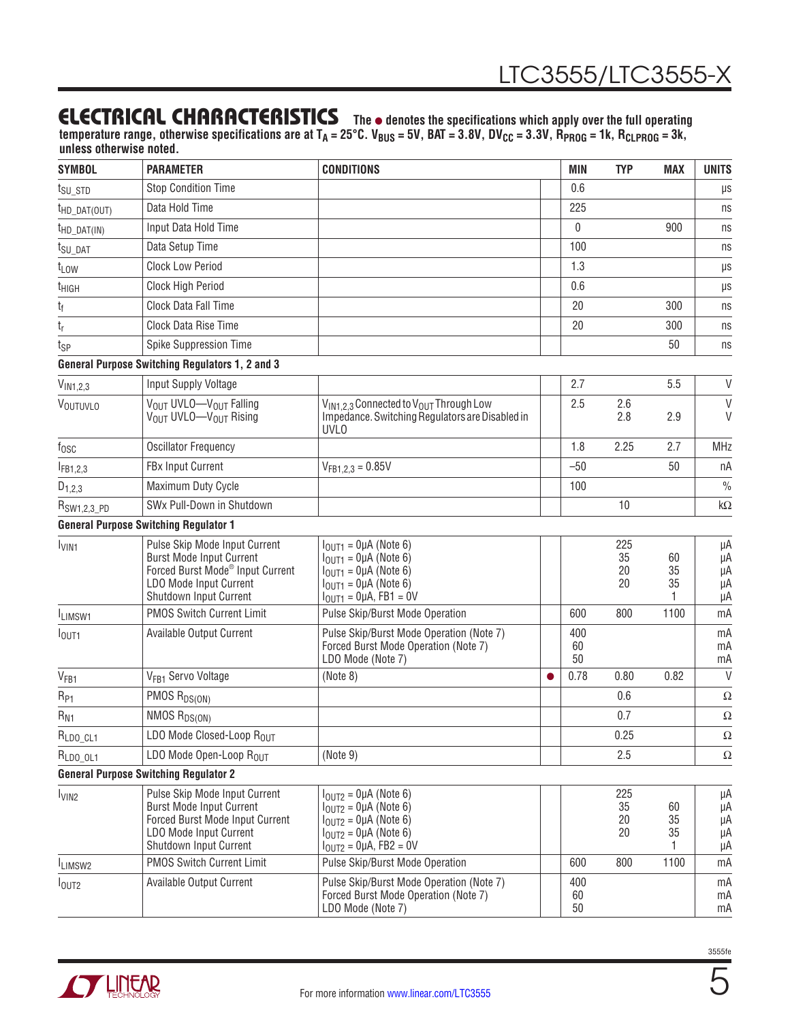temperature range, otherwise specifications are at T<sub>A</sub> = 25°C. V<sub>BUS</sub> = 5V, BAT = 3.8V, DV<sub>CC</sub> = 3.3V, R<sub>PROG</sub> = 1k, R<sub>CLPROG</sub> = 3k, **unless otherwise noted.**

| <b>SYMBOL</b>                       | <b>PARAMETER</b>                                                                                                                                                     | <b>CONDITIONS</b>                                                                                                                               |           | MIN             | <b>TYP</b>            | <b>MAX</b>          | <b>UNITS</b>               |
|-------------------------------------|----------------------------------------------------------------------------------------------------------------------------------------------------------------------|-------------------------------------------------------------------------------------------------------------------------------------------------|-----------|-----------------|-----------------------|---------------------|----------------------------|
| $t_{\text{SU}_\text{-} \text{STD}}$ | <b>Stop Condition Time</b>                                                                                                                                           |                                                                                                                                                 |           | 0.6             |                       |                     | μs                         |
| $t_{HD\_DAT(OUT)}$                  | Data Hold Time                                                                                                                                                       |                                                                                                                                                 |           | 225             |                       |                     | ns                         |
| $t_{HD\_DAT(IN)}$                   | Input Data Hold Time                                                                                                                                                 |                                                                                                                                                 |           | $\mathbf{0}$    |                       | 900                 | ns                         |
| t <sub>SU</sub> DAT                 | Data Setup Time                                                                                                                                                      |                                                                                                                                                 |           | 100             |                       |                     | ns                         |
| t <sub>LOW</sub>                    | <b>Clock Low Period</b>                                                                                                                                              |                                                                                                                                                 |           | 1.3             |                       |                     | $\mu s$                    |
| t <sub>HIGH</sub>                   | Clock High Period                                                                                                                                                    |                                                                                                                                                 |           | 0.6             |                       |                     | $\mu s$                    |
| t <sub>f</sub>                      | Clock Data Fall Time                                                                                                                                                 |                                                                                                                                                 |           | 20              |                       | 300                 | ns                         |
| tŗ                                  | Clock Data Rise Time                                                                                                                                                 |                                                                                                                                                 |           | 20              |                       | 300                 | ns                         |
| t <sub>SP</sub>                     | Spike Suppression Time                                                                                                                                               |                                                                                                                                                 |           |                 |                       | 50                  | ns                         |
|                                     | <b>General Purpose Switching Regulators 1, 2 and 3</b>                                                                                                               |                                                                                                                                                 |           |                 |                       |                     |                            |
| $V_{IN1,2,3}$                       | Input Supply Voltage                                                                                                                                                 |                                                                                                                                                 |           | 2.7             |                       | 5.5                 | V                          |
| VOUTUVLO                            | VOUT UVLO-VOUT Falling<br>V <sub>OUT</sub> UVLO-V <sub>OUT</sub> Rising                                                                                              | V <sub>IN1.2.3</sub> Connected to V <sub>OUT</sub> Through Low<br>Impedance. Switching Regulators are Disabled in<br><b>UVLO</b>                |           | 2.5             | 2.6<br>2.8            | 2.9                 | $\mathsf{V}$<br>V          |
| $f_{\rm OSC}$                       | <b>Oscillator Frequency</b>                                                                                                                                          |                                                                                                                                                 |           | 1.8             | 2.25                  | 2.7                 | <b>MHz</b>                 |
| $I_{FB1,2,3}$                       | FBx Input Current                                                                                                                                                    | $V_{FB1,2,3} = 0.85V$                                                                                                                           |           | $-50$           |                       | 50                  | nA                         |
| $D_{1,2,3}$                         | Maximum Duty Cycle                                                                                                                                                   |                                                                                                                                                 |           | 100             |                       |                     | $\frac{0}{0}$              |
| R <sub>SW1,2,3_PD</sub>             | SWx Pull-Down in Shutdown                                                                                                                                            |                                                                                                                                                 |           |                 | 10                    |                     | $k\Omega$                  |
|                                     | <b>General Purpose Switching Regulator 1</b>                                                                                                                         |                                                                                                                                                 |           |                 |                       |                     |                            |
| <b>LVIN1</b>                        | Pulse Skip Mode Input Current<br><b>Burst Mode Input Current</b><br>Forced Burst Mode <sup>®</sup> Input Current<br>LDO Mode Input Current<br>Shutdown Input Current | $IOUT1 = 0\muA (Note 6)$<br>$IOUT1 = 0\muA (Note 6)$<br>$IOUT1 = 0\muA (Note 6)$<br>$IOUT1 = 0\muA (Note 6)$<br>$IOUT1 = QµA$ , FB1 = 0V        |           |                 | 225<br>35<br>20<br>20 | 60<br>35<br>35      | μA<br>μA<br>μA<br>μA<br>μA |
| ILIMSW1                             | <b>PMOS Switch Current Limit</b>                                                                                                                                     | Pulse Skip/Burst Mode Operation                                                                                                                 |           | 600             | 800                   | 1100                | mA                         |
| I <sub>OUT1</sub>                   | Available Output Current                                                                                                                                             | Pulse Skip/Burst Mode Operation (Note 7)<br>Forced Burst Mode Operation (Note 7)<br>LDO Mode (Note 7)                                           |           | 400<br>60<br>50 |                       |                     | mA<br>mA<br>mA             |
| V <sub>FB1</sub>                    | V <sub>FR1</sub> Servo Voltage                                                                                                                                       | (Note 8)                                                                                                                                        | $\bullet$ | 0.78            | 0.80                  | 0.82                | $\vee$                     |
| $R_{P1}$                            | PMOS R <sub>DS(ON)</sub>                                                                                                                                             |                                                                                                                                                 |           |                 | 0.6                   |                     | $\Omega$                   |
| $R_{N1}$                            | NMOS $R_{DS(ON)}$                                                                                                                                                    |                                                                                                                                                 |           |                 | 0.7                   |                     | $\Omega$                   |
| $R_{LDO\_CL1}$                      | LDO Mode Closed-Loop ROUT                                                                                                                                            |                                                                                                                                                 |           |                 | 0.25                  |                     | Ω                          |
| $RLD0_0L1$                          | LDO Mode Open-Loop $R_{OIII}$                                                                                                                                        | (Note 9)                                                                                                                                        |           |                 | 2.5                   |                     | Ω                          |
|                                     | <b>General Purpose Switching Regulator 2</b>                                                                                                                         |                                                                                                                                                 |           |                 |                       |                     |                            |
| $I_{VIN2}$                          | Pulse Skip Mode Input Current<br><b>Burst Mode Input Current</b><br>Forced Burst Mode Input Current<br>LDO Mode Input Current<br>Shutdown Input Current              | $IOIII2 = QµA (Note 6)$<br>$IOUT2 = QµA (Note 6)$<br>$IOUT2 = QµA (Note 6)$<br>$I_{OUT2} = 0 \mu A$ (Note 6)<br>$I_{OUT2} = 0 \mu A$ , FB2 = 0V |           |                 | 225<br>35<br>20<br>20 | 60<br>35<br>35<br>1 | μA<br>μA<br>μA<br>μA<br>μA |
| LIMSW <sub>2</sub>                  | <b>PMOS Switch Current Limit</b>                                                                                                                                     | Pulse Skip/Burst Mode Operation                                                                                                                 |           | 600             | 800                   | 1100                | mA                         |
| I <sub>OUT2</sub>                   | <b>Available Output Current</b>                                                                                                                                      | Pulse Skip/Burst Mode Operation (Note 7)<br>Forced Burst Mode Operation (Note 7)<br>LDO Mode (Note 7)                                           |           | 400<br>60<br>50 |                       |                     | mA<br>mA<br>mA             |



5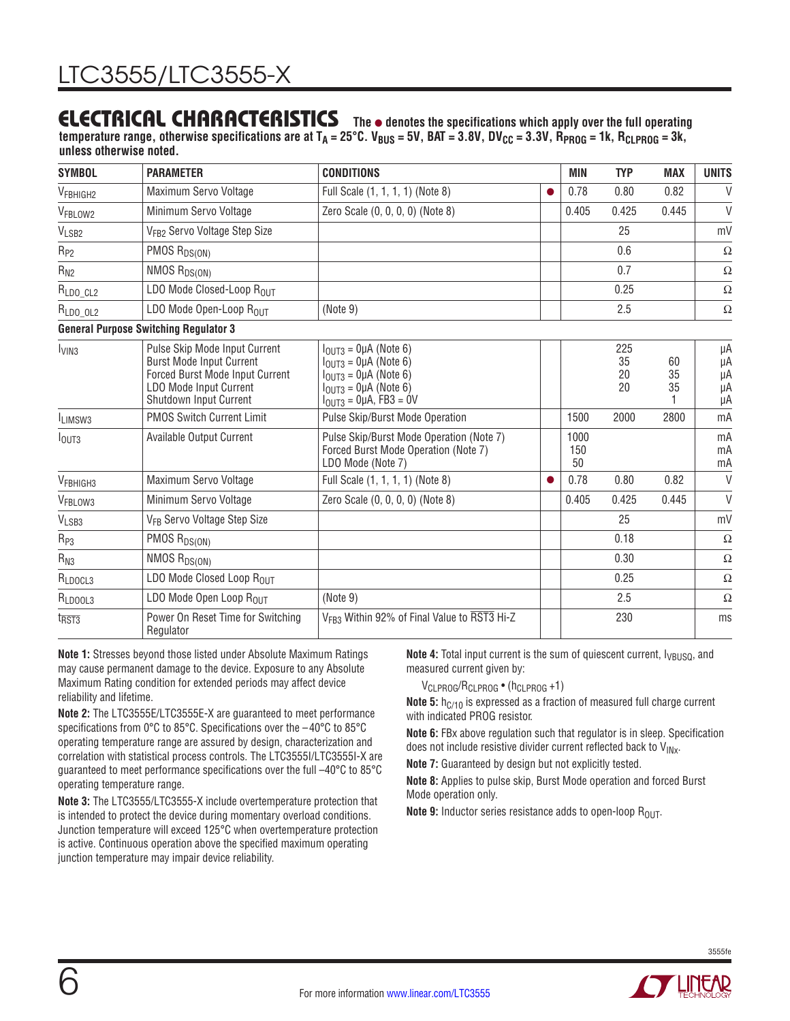temperature range, otherwise specifications are at T<sub>A</sub> = 25°C. V<sub>BUS</sub> = 5V, BAT = 3.8V, DV<sub>CC</sub> = 3.3V, R<sub>PROG</sub> = 1k, R<sub>CLPROG</sub> = 3k, **unless otherwise noted.**

| <b>SYMBOL</b>                   | <b>PARAMETER</b>                                                                                                                                               | <b>CONDITIONS</b>                                                                                                                           |           | <b>MIN</b>        | <b>TYP</b>            | <b>MAX</b>     | <b>UNITS</b>               |
|---------------------------------|----------------------------------------------------------------------------------------------------------------------------------------------------------------|---------------------------------------------------------------------------------------------------------------------------------------------|-----------|-------------------|-----------------------|----------------|----------------------------|
| V <sub>FBHIGH2</sub>            | Maximum Servo Voltage                                                                                                                                          | Full Scale (1, 1, 1, 1) (Note 8)                                                                                                            | ●         | 0.78              | 0.80                  | 0.82           | $\vee$                     |
| V <sub>FBLOW2</sub>             | Minimum Servo Voltage                                                                                                                                          | Zero Scale (0, 0, 0, 0) (Note 8)                                                                                                            |           | 0.405             | 0.425                 | 0.445          | $\vee$                     |
| VLSB2                           | V <sub>FB2</sub> Servo Voltage Step Size                                                                                                                       |                                                                                                                                             |           |                   | 25                    |                | mV                         |
| $R_{P2}$                        | PMOS R <sub>DS(ON)</sub>                                                                                                                                       |                                                                                                                                             |           |                   | 0.6                   |                | $\Omega$                   |
| $R_{N2}$                        | NMOS R <sub>DS(ON)</sub>                                                                                                                                       |                                                                                                                                             |           |                   | 0.7                   |                | $\Omega$                   |
| $R_{LDO\_CL2}$                  | LDO Mode Closed-Loop ROUT                                                                                                                                      |                                                                                                                                             |           |                   | 0.25                  |                | $\Omega$                   |
| RLDO OL2                        | LDO Mode Open-Loop ROUT                                                                                                                                        | (Note 9)                                                                                                                                    |           |                   | 2.5                   |                | Ω                          |
|                                 | <b>General Purpose Switching Regulator 3</b>                                                                                                                   |                                                                                                                                             |           |                   |                       |                |                            |
| l <sub>VIN3</sub>               | Pulse Skip Mode Input Current<br><b>Burst Mode Input Current</b><br>Forced Burst Mode Input Current<br><b>LDO Mode Input Current</b><br>Shutdown Input Current | $IOIII3 = QµA (Note 6)$<br>$IOIII3 = QµA$ (Note 6)<br>$IOIII3 = QµA$ (Note 6)<br>$IO1173 = QUA (Note 6)$<br>$I_{OUT3} = 0 \mu A$ , FB3 = 0V |           |                   | 225<br>35<br>20<br>20 | 60<br>35<br>35 | μA<br>μA<br>μA<br>μA<br>μA |
| <sup>I</sup> LIMSW <sub>3</sub> | <b>PMOS Switch Current Limit</b>                                                                                                                               | Pulse Skip/Burst Mode Operation                                                                                                             |           | 1500              | 2000                  | 2800           | mA                         |
| I <sub>OUT3</sub>               | Available Output Current                                                                                                                                       | Pulse Skip/Burst Mode Operation (Note 7)<br>Forced Burst Mode Operation (Note 7)<br>LDO Mode (Note 7)                                       |           | 1000<br>150<br>50 |                       |                | mA<br>mA<br>mA             |
| V <sub>FBHIGH3</sub>            | Maximum Servo Voltage                                                                                                                                          | Full Scale (1, 1, 1, 1) (Note 8)                                                                                                            | $\bullet$ | 0.78              | 0.80                  | 0.82           | $\vee$                     |
| VFBLOW3                         | Minimum Servo Voltage                                                                                                                                          | Zero Scale (0, 0, 0, 0) (Note 8)                                                                                                            |           | 0.405             | 0.425                 | 0.445          | $\vee$                     |
| V <sub>LSB3</sub>               | V <sub>FB</sub> Servo Voltage Step Size                                                                                                                        |                                                                                                                                             |           |                   | 25                    |                | mV                         |
| $R_{P3}$                        | PMOS R <sub>DS(ON)</sub>                                                                                                                                       |                                                                                                                                             |           |                   | 0.18                  |                | $\Omega$                   |
| $R_{N3}$                        | NMOS R <sub>DS(ON)</sub>                                                                                                                                       |                                                                                                                                             |           |                   | 0.30                  |                | $\Omega$                   |
| R <sub>LDOCL3</sub>             | LDO Mode Closed Loop ROUT                                                                                                                                      |                                                                                                                                             |           |                   | 0.25                  |                | $\Omega$                   |
| RLDOOL3                         | LDO Mode Open Loop R <sub>OUT</sub>                                                                                                                            | (Note 9)                                                                                                                                    |           |                   | 2.5                   |                | $\Omega$                   |
| t <sub>RST3</sub>               | Power On Reset Time for Switching<br>Regulator                                                                                                                 | V <sub>FB3</sub> Within 92% of Final Value to RST3 Hi-Z                                                                                     | 230       |                   | ms                    |                |                            |

**Note 1:** Stresses beyond those listed under Absolute Maximum Ratings may cause permanent damage to the device. Exposure to any Absolute Maximum Rating condition for extended periods may affect device reliability and lifetime.

**Note 2:** The LTC3555E/LTC3555E-X are guaranteed to meet performance specifications from 0°C to 85°C. Specifications over the –40°C to 85°C operating temperature range are assured by design, characterization and correlation with statistical process controls. The LTC3555I/LTC3555I-X are guaranteed to meet performance specifications over the full –40°C to 85°C operating temperature range.

**Note 3:** The LTC3555/LTC3555-X include overtemperature protection that is intended to protect the device during momentary overload conditions. Junction temperature will exceed 125°C when overtemperature protection is active. Continuous operation above the specified maximum operating junction temperature may impair device reliability.

**Note 4:** Total input current is the sum of quiescent current,  $I_{VBUSQ}$ , and measured current given by:

VCLPROG/RCLPROG • (hCLPROG +1)

**Note 5:** h<sub>C/10</sub> is expressed as a fraction of measured full charge current with indicated PROG resistor.

**Note 6:** FBx above regulation such that regulator is in sleep. Specification does not include resistive divider current reflected back to  $V_{INX}$ .

**Note 7:** Guaranteed by design but not explicitly tested.

**Note 8:** Applies to pulse skip, Burst Mode operation and forced Burst Mode operation only.

**Note 9:** Inductor series resistance adds to open-loop R<sub>OUT</sub>.

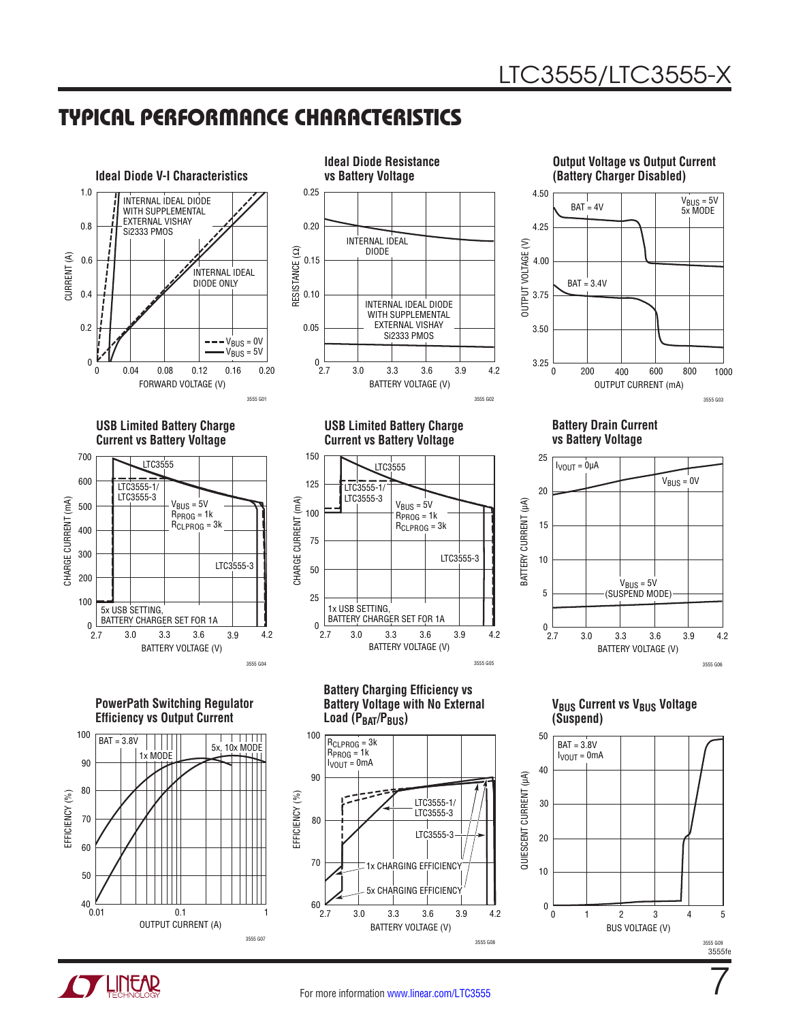0.25





**Ideal Diode Resistance vs Battery Voltage**





**PowerPath Switching Regulator Efficiency vs Output Current**



**USB Limited Battery Charge Current vs Battery Voltage**



**Battery Charging Efficiency vs Battery Voltage with No External**  Load (P<sub>BAT</sub>/P<sub>BUS</sub>)





**Battery Drain Current vs Battery Voltage**



**VBUS Current vs VBUS Voltage (Suspend)**



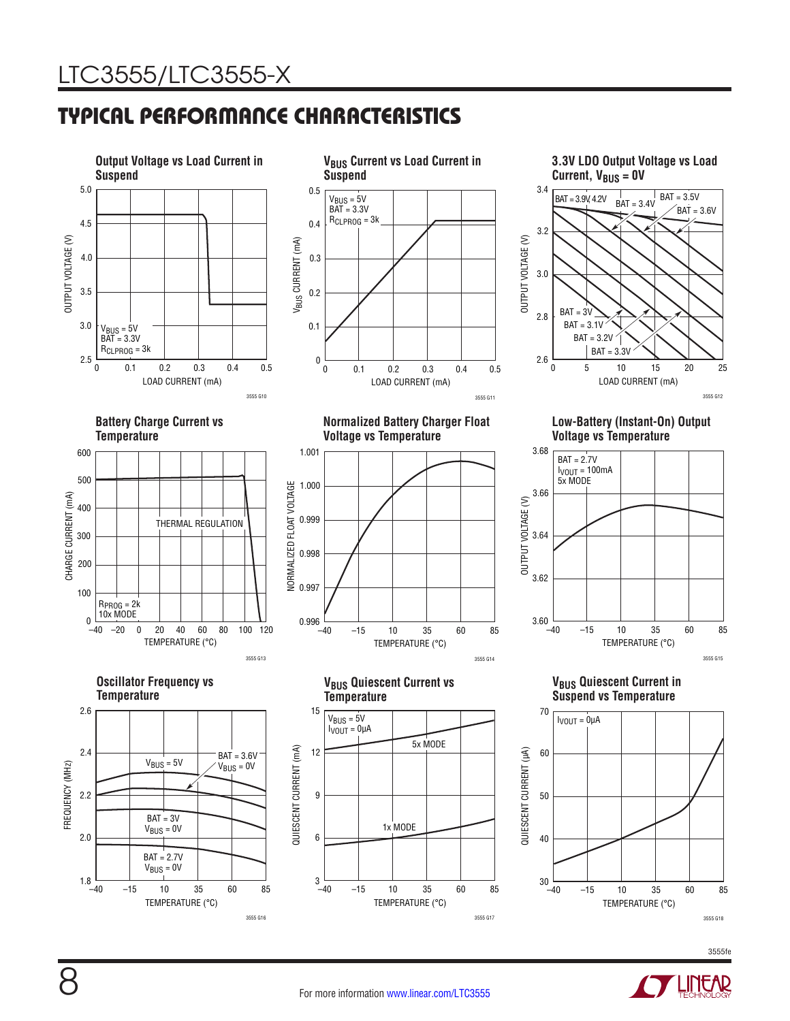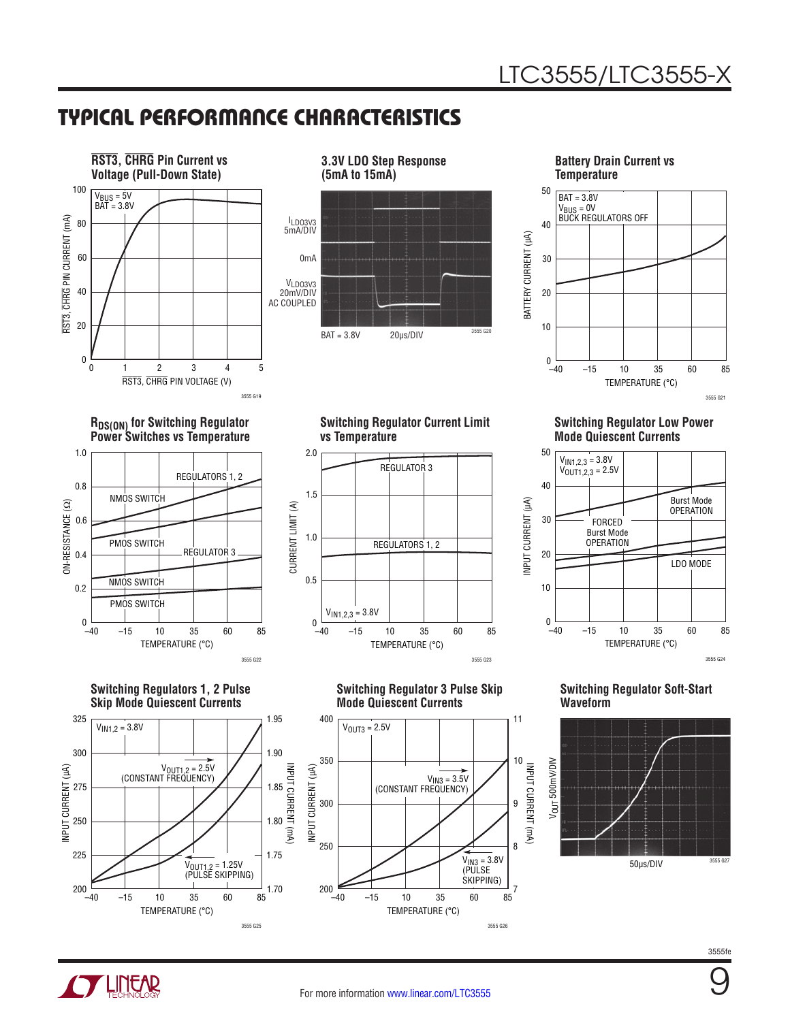

**3.3V LDO Step Response (5mA to 15mA)** ILDO3V3 5mA/DIV 0mA  $BAT = 3.8V$  20µs/DIV  $3555 620$ VLDO3V3 20mV/DIV AC COUPLED

**Battery Drain Current vs Temperature**



**RDS(ON)** for Switching Regulator **Power Switches vs Temperature**



**Switching Regulators 1, 2 Pulse Skip Mode Quiescent Currents**



**Switching Regulator Current Limit vs Temperature**



**Switching Regulator 3 Pulse Skip Mode Quiescent Currents**

(CONSTANT FREQUENCY)

**Switching Regulator Low Power Mode Quiescent Currents**



**Switching Regulator Soft-Start Waveform**



INPUT CURRENT (mA)

9 INPUT CURRENT (mA)

11

8

7

3555fe



–40

INPUT CURRENT (µA)

INPUT CURRENT (µA)

300

250

200

350

400

 $V<sub>OUT3</sub> = 2.5V$ 

TEMPERATURE (°C)

–15 10 35 85

 $V_{1N3} = 3.5V$ 

60

 $V_{1N3} = 3.8V$ (PULSE SKIPPING)

3555 G26

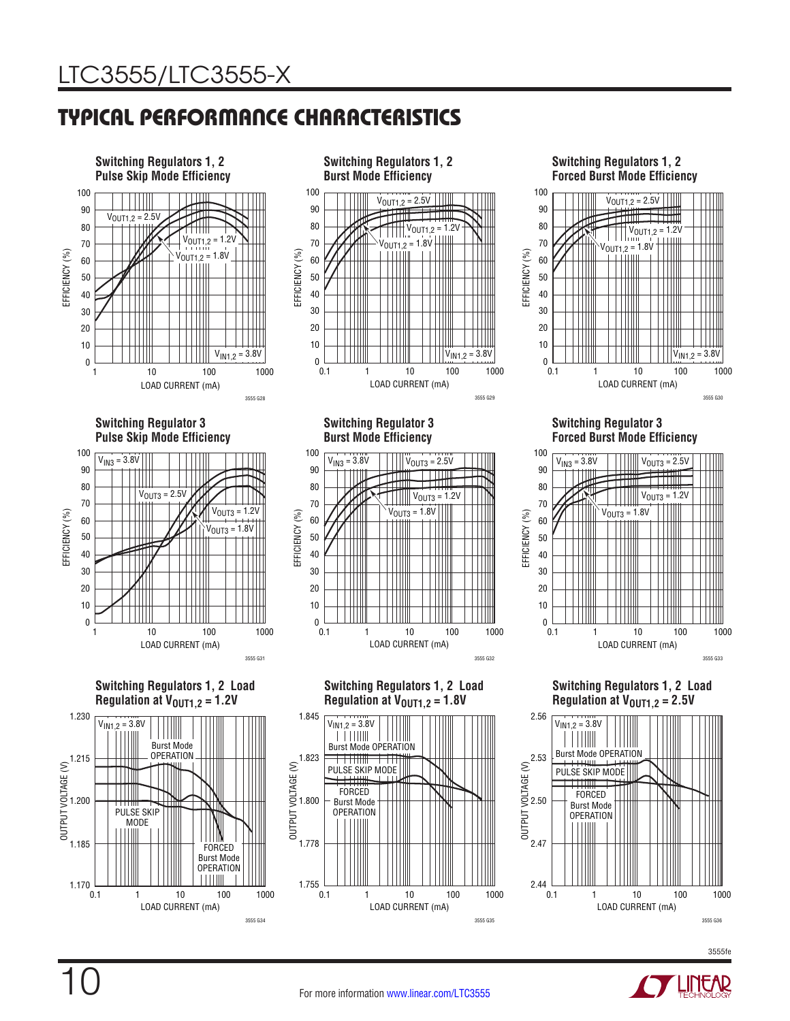

10

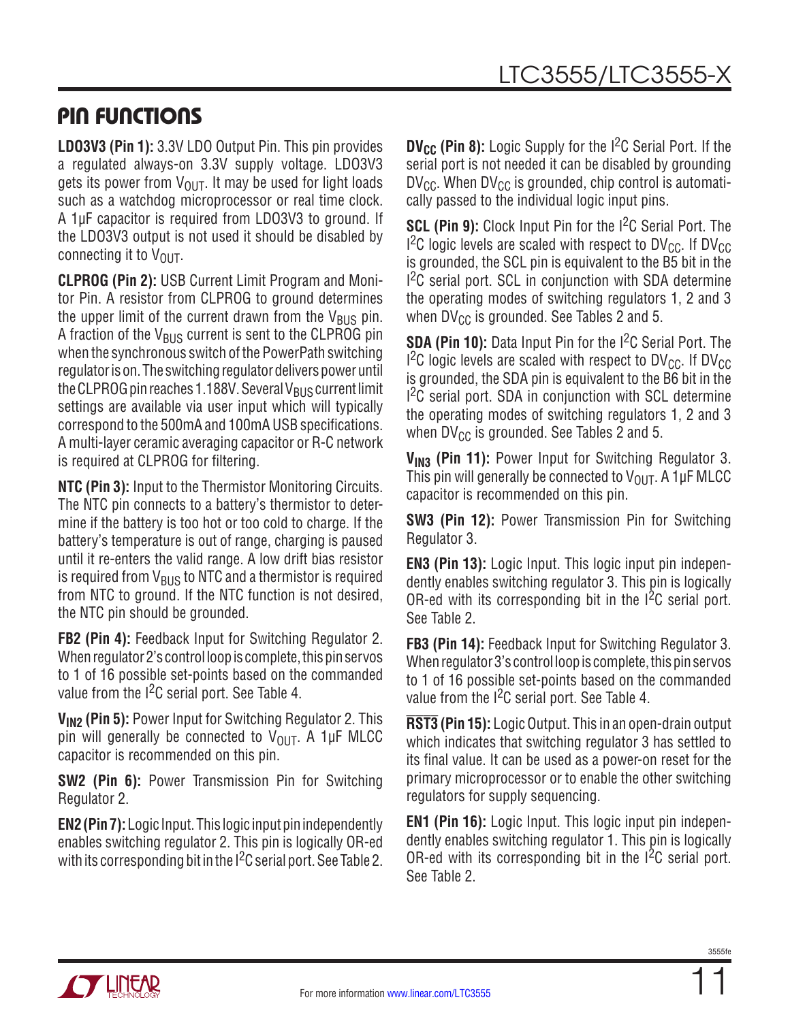## PIN FUNCTIONS

**LDO3V3 (Pin 1):** 3.3V LDO Output Pin. This pin provides a regulated always-on 3.3V supply voltage. LDO3V3 gets its power from  $V_{\text{OUT}}$ . It may be used for light loads such as a watchdog microprocessor or real time clock. A 1µF capacitor is required from LDO3V3 to ground. If the LDO3V3 output is not used it should be disabled by connecting it to  $V_{\text{OUT}}$ .

**CLPROG (Pin 2):** USB Current Limit Program and Monitor Pin. A resistor from CLPROG to ground determines the upper limit of the current drawn from the  $V_{\rm BUS}$  pin. A fraction of the  $V_{\text{RUS}}$  current is sent to the CLPROG pin when the synchronous switch of the PowerPath switching regulator is on. The switching regulator delivers power until the CLPROG pin reaches 1.188V. Several V $_{\rm BUS}$  current limit settings are available via user input which will typically correspond to the 500mA and 100mA USB specifications. A multi-layer ceramic averaging capacitor or R-C network is required at CLPROG for filtering.

**NTC (Pin 3):** Input to the Thermistor Monitoring Circuits. The NTC pin connects to a battery's thermistor to determine if the battery is too hot or too cold to charge. If the battery's temperature is out of range, charging is paused until it re-enters the valid range. A low drift bias resistor is required from  $V_{BUS}$  to NTC and a thermistor is required from NTC to ground. If the NTC function is not desired, the NTC pin should be grounded.

**FB2 (Pin 4):** Feedback Input for Switching Regulator 2. When regulator 2's control loop is complete, this pin servos to 1 of 16 possible set-points based on the commanded value from the  $1<sup>2</sup>C$  serial port. See Table 4.

**VIN2 (Pin 5):** Power Input for Switching Regulator 2. This pin will generally be connected to  $V_{\text{OUT}}$ . A 1µF MLCC capacitor is recommended on this pin.

**SW2 (Pin 6):** Power Transmission Pin for Switching Regulator 2.

**EN2 (Pin 7):** Logic Input. This logic input pin independently enables switching regulator 2. This pin is logically OR-ed with its corresponding bit in the  $1^2C$  serial port. See Table 2. **DV<sub>CC</sub>** (Pin 8): Logic Supply for the I<sup>2</sup>C Serial Port. If the serial port is not needed it can be disabled by grounding  $DV_{\text{CC}}$ . When DV<sub>CC</sub> is grounded, chip control is automatically passed to the individual logic input pins.

**SCL (Pin 9):** Clock Input Pin for the I<sup>2</sup>C Serial Port. The  $1^2$ C logic levels are scaled with respect to DV<sub>CC</sub>. If DV<sub>CC</sub> is grounded, the SCL pin is equivalent to the B5 bit in the <sup>2</sup>C serial port. SCL in conjunction with SDA determine the operating modes of switching regulators 1, 2 and 3 when  $DV_{CC}$  is grounded. See Tables 2 and 5.

**SDA (Pin 10):** Data Input Pin for the I<sup>2</sup>C Serial Port. The  $1<sup>2</sup>C$  logic levels are scaled with respect to DV<sub>CC</sub>. If DV<sub>CC</sub> is grounded, the SDA pin is equivalent to the B6 bit in the <sup>2</sup>C serial port. SDA in conjunction with SCL determine the operating modes of switching regulators 1, 2 and 3 when  $DV_{CC}$  is grounded. See Tables 2 and 5.

V<sub>IN3</sub> (Pin 11): Power Input for Switching Regulator 3. This pin will generally be connected to  $V_{\text{OUT}}$ . A 1µF MLCC capacitor is recommended on this pin.

**SW3 (Pin 12):** Power Transmission Pin for Switching Regulator 3.

**EN3 (Pin 13):** Logic Input. This logic input pin independently enables switching regulator 3. This pin is logically OR-ed with its corresponding bit in the  $1<sup>2</sup>C$  serial port. See Table 2.

**FB3 (Pin 14):** Feedback Input for Switching Regulator 3. When regulator 3's control loop is complete, this pin servos to 1 of 16 possible set-points based on the commanded value from the  $1<sup>2</sup>C$  serial port. See Table 4.

**RST3 (Pin 15):** Logic Output. This in an open-drain output which indicates that switching regulator 3 has settled to its final value. It can be used as a power-on reset for the primary microprocessor or to enable the other switching regulators for supply sequencing.

**EN1 (Pin 16):** Logic Input. This logic input pin independently enables switching regulator 1. This pin is logically OR-ed with its corresponding bit in the  $1^2C$  serial port. See Table 2.

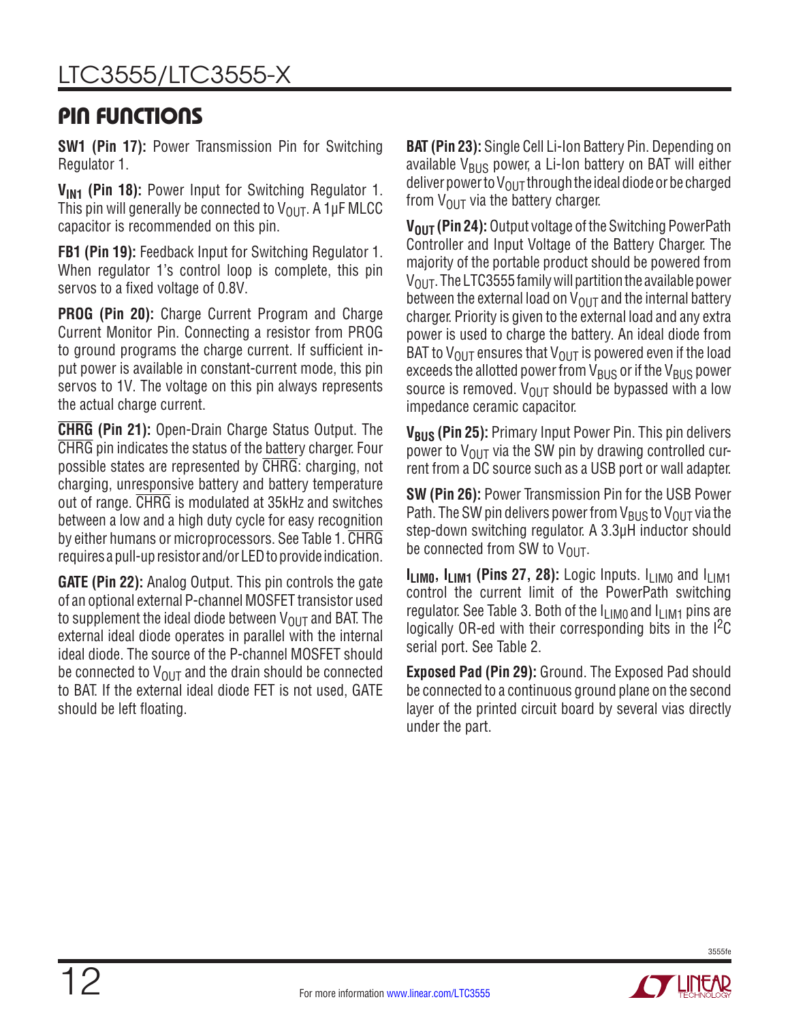## PIN FUNCTIONS

**SW1 (Pin 17):** Power Transmission Pin for Switching Regulator 1.

V<sub>IN1</sub> (Pin 18): Power Input for Switching Regulator 1. This pin will generally be connected to  $V_{\text{OUT}}$ . A 1µF MLCC capacitor is recommended on this pin.

**FB1 (Pin 19):** Feedback Input for Switching Regulator 1. When regulator 1's control loop is complete, this pin servos to a fixed voltage of 0.8V.

**PROG (Pin 20):** Charge Current Program and Charge Current Monitor Pin. Connecting a resistor from PROG to ground programs the charge current. If sufficient input power is available in constant-current mode, this pin servos to 1V. The voltage on this pin always represents the actual charge current.

**CHRG (Pin 21):** Open-Drain Charge Status Output. The CHRG pin indicates the status of the battery charger. Four possible states are represented by CHRG: charging, not charging, unresponsive battery and battery temperature out of range. CHRG is modulated at 35kHz and switches between a low and a high duty cycle for easy recognition by either humans or microprocessors. See Table 1. CHRG requires a pull-up resistor and/or LED to provide indication.

**GATE (Pin 22):** Analog Output. This pin controls the gate of an optional external P-channel MOSFET transistor used to supplement the ideal diode between  $V_{OUT}$  and BAT. The external ideal diode operates in parallel with the internal ideal diode. The source of the P-channel MOSFET should be connected to  $V_{\text{OUT}}$  and the drain should be connected to BAT. If the external ideal diode FET is not used, GATE should be left floating.

**BAT (Pin 23):** Single Cell Li-Ion Battery Pin. Depending on available  $V_{\text{BUS}}$  power, a Li-Ion battery on BAT will either deliver power to  $V_{\text{OUT}}$  through the ideal diode or be charged from  $V_{\text{OUT}}$  via the battery charger.

**V<sub>OUT</sub> (Pin 24):** Output voltage of the Switching PowerPath Controller and Input Voltage of the Battery Charger. The majority of the portable product should be powered from  $V_{\text{OUT}}$ . The LTC3555 family will partition the available power between the external load on  $V_{OUT}$  and the internal battery charger. Priority is given to the external load and any extra power is used to charge the battery. An ideal diode from BAT to  $V_{\text{OUT}}$  ensures that  $V_{\text{OUT}}$  is powered even if the load exceeds the allotted power from  $V_{BUS}$  or if the  $V_{BUS}$  power source is removed.  $V_{OU}T$  should be bypassed with a low impedance ceramic capacitor.

**V<sub>BUS</sub> (Pin 25):** Primary Input Power Pin. This pin delivers power to  $V_{OUT}$  via the SW pin by drawing controlled current from a DC source such as a USB port or wall adapter.

**SW (Pin 26):** Power Transmission Pin for the USB Power Path. The SW pin delivers power from  $V_{BUS}$  to  $V_{OUT}$  via the step-down switching regulator. A 3.3µH inductor should be connected from SW to  $V_{\Omega IIT}$ .

**ILIMO, ILIM1 (Pins 27, 28):** Logic Inputs. I<sub>LIMO</sub> and  $I_{LIM1}$ control the current limit of the PowerPath switching regulator. See Table 3. Both of the  $I_{LIM0}$  and  $I_{LIM1}$  pins are logically OR-ed with their corresponding bits in the  $I^2C$ serial port. See Table 2.

**Exposed Pad (Pin 29):** Ground. The Exposed Pad should be connected to a continuous ground plane on the second layer of the printed circuit board by several vias directly under the part.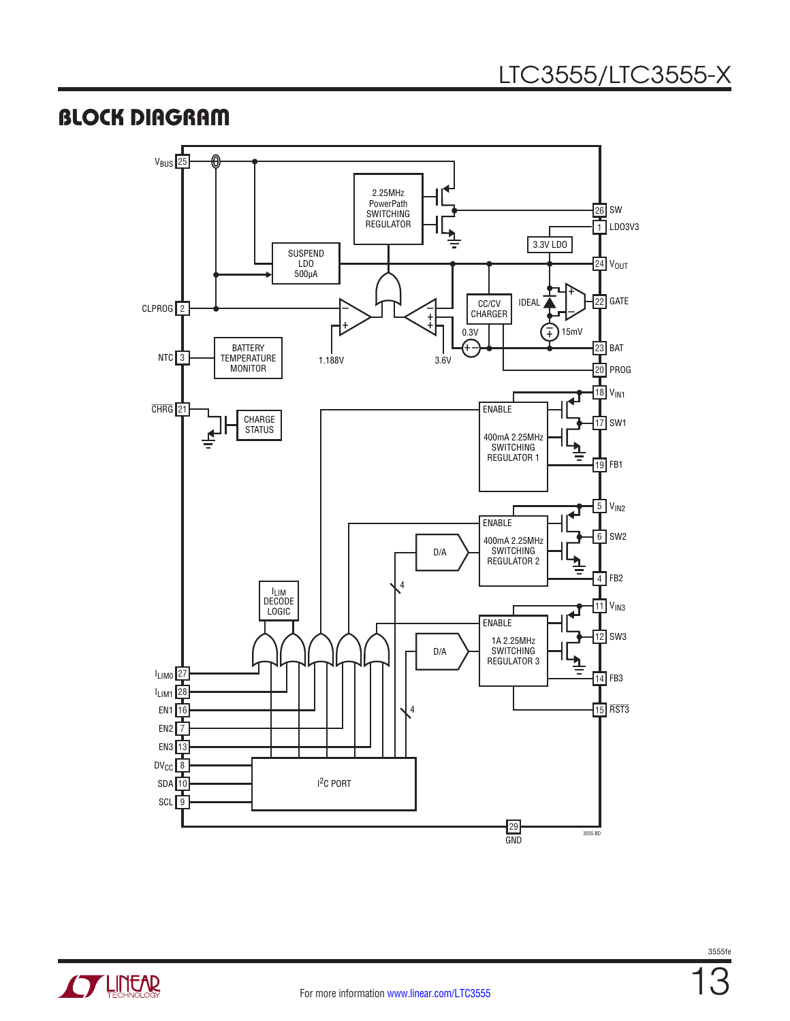## BLOCK DIAGRAM



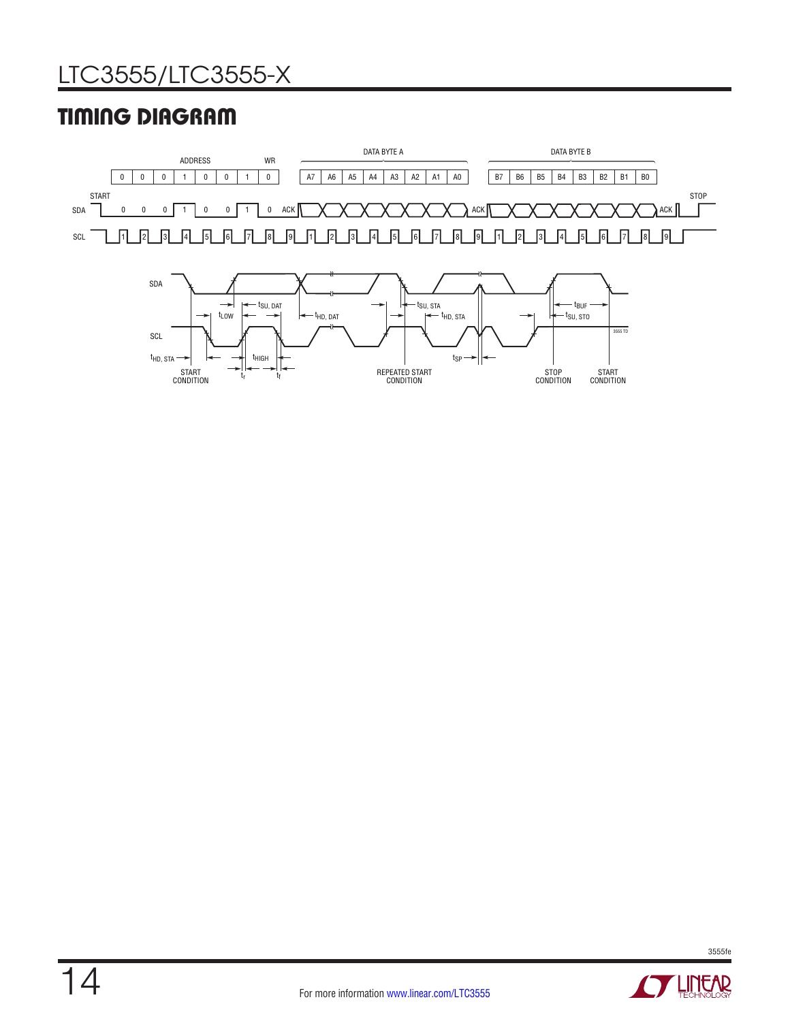# TIMING DIAGRAM



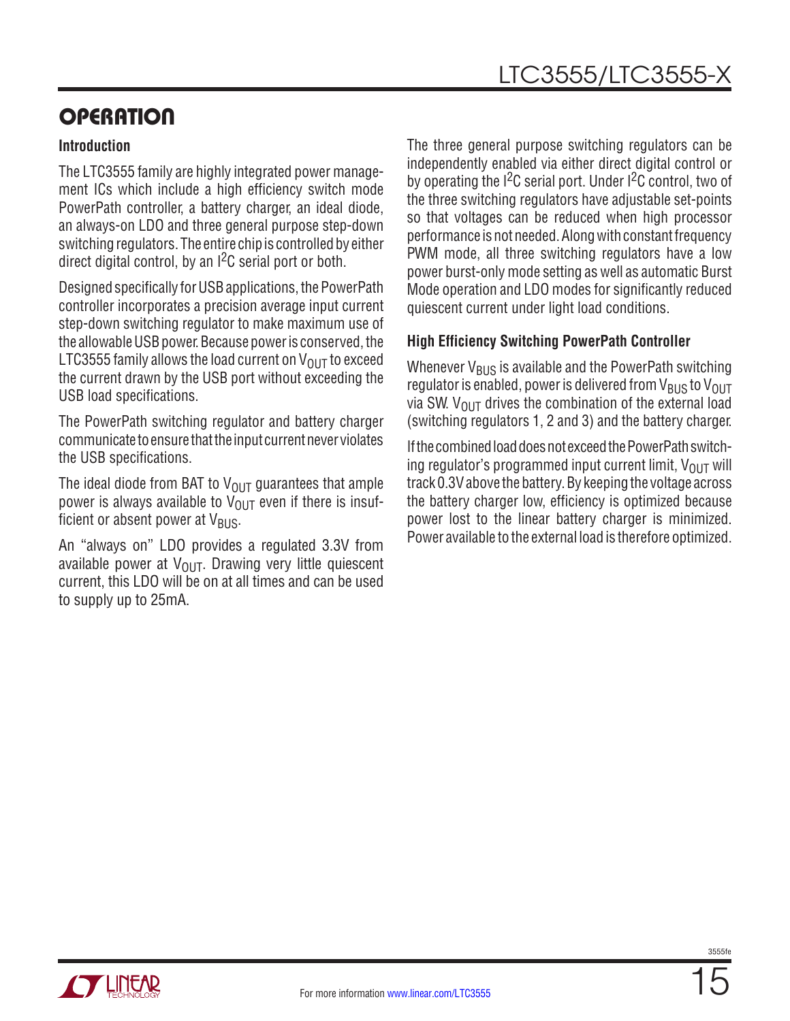### **Introduction**

The LTC3555 family are highly integrated power management ICs which include a high efficiency switch mode PowerPath controller, a battery charger, an ideal diode, an always-on LDO and three general purpose step-down switching regulators. The entire chip is controlled by either direct digital control, by an I2C serial port or both.

Designed specifically for USB applications, the PowerPath controller incorporates a precision average input current step-down switching regulator to make maximum use of the allowable USB power. Because power is conserved, the LTC3555 family allows the load current on  $V_{\text{OUT}}$  to exceed the current drawn by the USB port without exceeding the USB load specifications.

The PowerPath switching regulator and battery charger communicate to ensure that the input current never violates the USB specifications.

The ideal diode from BAT to  $V_{O \cup T}$  guarantees that ample power is always available to  $V_{\text{OUT}}$  even if there is insufficient or absent power at  $V_{\text{BUS}}$ .

An "always on" LDO provides a regulated 3.3V from available power at  $V_{OUT}$ . Drawing very little quiescent current, this LDO will be on at all times and can be used to supply up to 25mA.

The three general purpose switching regulators can be independently enabled via either direct digital control or by operating the  $I^2C$  serial port. Under  $I^2C$  control, two of the three switching regulators have adjustable set-points so that voltages can be reduced when high processor performance is not needed. Along with constant frequency PWM mode, all three switching regulators have a low power burst-only mode setting as well as automatic Burst Mode operation and LDO modes for significantly reduced quiescent current under light load conditions.

### **High Efficiency Switching PowerPath Controller**

Whenever  $V_{BUS}$  is available and the PowerPath switching regulator is enabled, power is delivered from  $V_{\text{BUS}}$  to  $V_{\text{OUT}}$ via SW.  $V_{\text{OUT}}$  drives the combination of the external load (switching regulators 1, 2 and 3) and the battery charger.

If the combined load does not exceed the PowerPath switching regulator's programmed input current limit,  $V_{OUT}$  will track 0.3V above the battery. By keeping the voltage across the battery charger low, efficiency is optimized because power lost to the linear battery charger is minimized. Power available to the external load is therefore optimized.

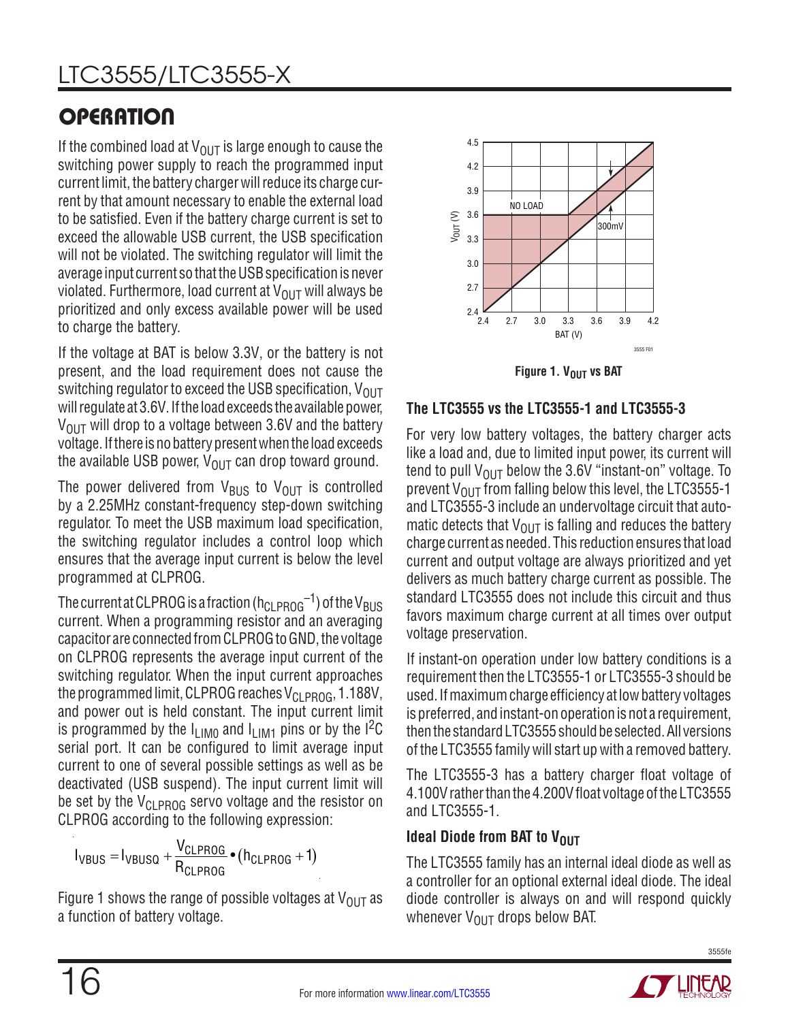If the combined load at  $V_{\text{OUT}}$  is large enough to cause the switching power supply to reach the programmed input current limit, the battery charger will reduce its charge current by that amount necessary to enable the external load to be satisfied. Even if the battery charge current is set to exceed the allowable USB current, the USB specification will not be violated. The switching regulator will limit the average input current so that the USB specification is never violated. Furthermore, load current at  $V_{\text{OUT}}$  will always be prioritized and only excess available power will be used to charge the battery.

If the voltage at BAT is below 3.3V, or the battery is not present, and the load requirement does not cause the switching regulator to exceed the USB specification,  $V_{OUT}$ will regulate at 3.6V. If the load exceeds the available power,  $V_{\text{OUT}}$  will drop to a voltage between 3.6V and the battery voltage. If there is no battery present when the load exceeds the available USB power,  $V_{\text{OUT}}$  can drop toward ground.

The power delivered from  $V_{\text{BUS}}$  to  $V_{\text{OUT}}$  is controlled by a 2.25MHz constant-frequency step-down switching regulator. To meet the USB maximum load specification, the switching regulator includes a control loop which ensures that the average input current is below the level programmed at CLPROG.

The current at CLPROG is a fraction ( $h_{CLPROG}^{-1}$ ) of the V<sub>BUS</sub> current. When a programming resistor and an averaging capacitor are connected from CLPROG to GND, the voltage on CLPROG represents the average input current of the switching regulator. When the input current approaches the programmed limit, CLPROG reaches  $V_{\text{CI PROG}}$ , 1.188V, and power out is held constant. The input current limit is programmed by the  $I_{LIM0}$  and  $I_{LIM1}$  pins or by the I<sup>2</sup>C serial port. It can be configured to limit average input current to one of several possible settings as well as be deactivated (USB suspend). The input current limit will be set by the  $V_{CI\ PROG}$  servo voltage and the resistor on CLPROG according to the following expression:

$$
I_{VBUS} = I_{VBUSQ} + \frac{V_{CLPROG}}{R_{CLPROG}} \bullet (h_{CLPROG} + 1)
$$

Figure 1 shows the range of possible voltages at  $V_{\text{OUT}}$  as a function of battery voltage.



**Figure 1. VOUT VS BAT** 

## **The LTC3555 vs the LTC3555-1 and LTC3555-3**

For very low battery voltages, the battery charger acts like a load and, due to limited input power, its current will tend to pull  $V_{\text{OUT}}$  below the 3.6V "instant-on" voltage. To prevent  $V_{\text{OUT}}$  from falling below this level, the LTC3555-1 and LTC3555-3 include an undervoltage circuit that automatic detects that  $V_{\text{OUT}}$  is falling and reduces the battery charge current as needed. This reduction ensures that load current and output voltage are always prioritized and yet delivers as much battery charge current as possible. The standard LTC3555 does not include this circuit and thus favors maximum charge current at all times over output voltage preservation.

If instant-on operation under low battery conditions is a requirement then the LTC3555-1 or LTC3555-3 should be used. If maximum charge efficiency at low battery voltages is preferred, and instant-on operation is not a requirement, then the standard LTC3555 should be selected. All versions of the LTC3555 family will start up with a removed battery.

The LTC3555-3 has a battery charger float voltage of 4.100V rather than the 4.200V float voltage of the LTC3555 and LTC3555-1.

## **Ideal Diode from BAT to VOUT**

The LTC3555 family has an internal ideal diode as well as a controller for an optional external ideal diode. The ideal diode controller is always on and will respond quickly whenever  $V_{\text{OUT}}$  drops below BAT.

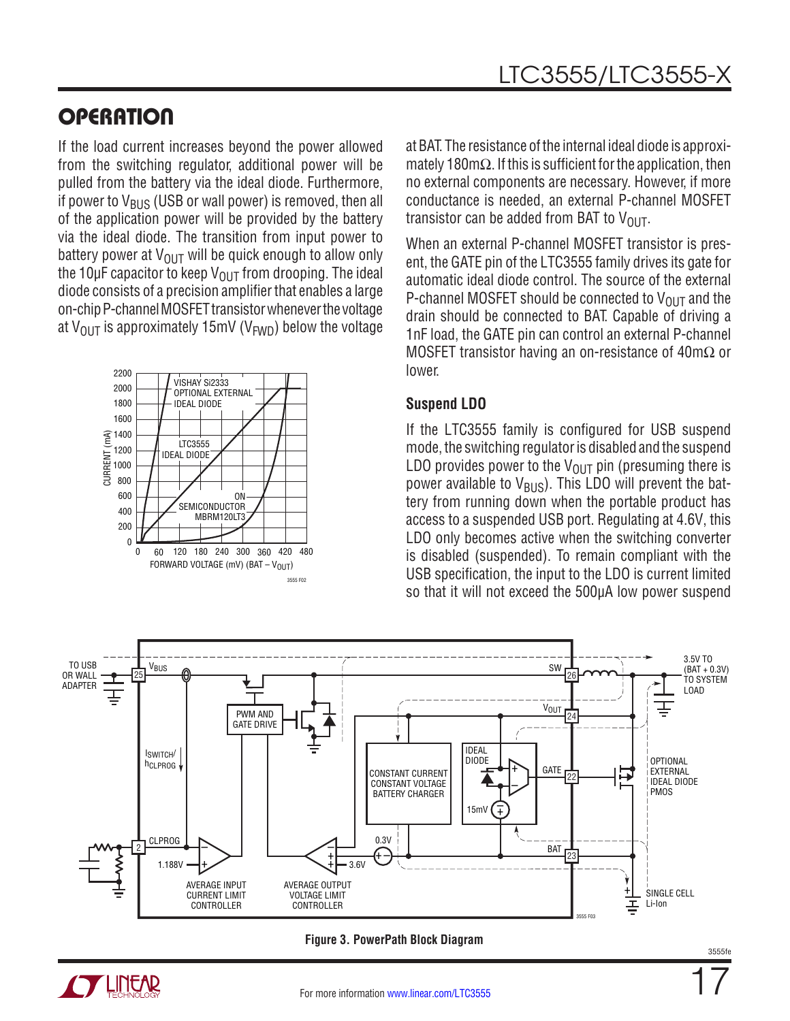If the load current increases beyond the power allowed from the switching regulator, additional power will be pulled from the battery via the ideal diode. Furthermore, if power to  $V_{\text{BUS}}$  (USB or wall power) is removed, then all of the application power will be provided by the battery via the ideal diode. The transition from input power to battery power at  $V_{\text{OUT}}$  will be quick enough to allow only the 10 $\mu$ F capacitor to keep V<sub>OUT</sub> from drooping. The ideal diode consists of a precision amplifier that enables a large on-chip P-channel MOSFET transistor whenever the voltage at V<sub>OUT</sub> is approximately 15mV (V<sub>FWD</sub>) below the voltage



at BAT. The resistance of the internal ideal diode is approximately 180m $\Omega$ . If this is sufficient for the application, then no external components are necessary. However, if more conductance is needed, an external P-channel MOSFET transistor can be added from BAT to  $V_{OUT}$ .

When an external P-channel MOSFET transistor is present, the GATE pin of the LTC3555 family drives its gate for automatic ideal diode control. The source of the external P-channel MOSFET should be connected to  $V_{OUT}$  and the drain should be connected to BAT. Capable of driving a 1nF load, the GATE pin can control an external P-channel MOSFET transistor having an on-resistance of 40mΩ or lower.

### **Suspend LDO**

If the LTC3555 family is configured for USB suspend mode, the switching regulator is disabled and the suspend LDO provides power to the  $V_{\text{OUT}}$  pin (presuming there is power available to  $V_{\text{BUS}}$ ). This LDO will prevent the battery from running down when the portable product has access to a suspended USB port. Regulating at 4.6V, this LDO only becomes active when the switching converter is disabled (suspended). To remain compliant with the USB specification, the input to the LDO is current limited so that it will not exceed the 500µA low power suspend

![](_page_16_Figure_8.jpeg)

![](_page_16_Figure_9.jpeg)

![](_page_16_Picture_10.jpeg)

17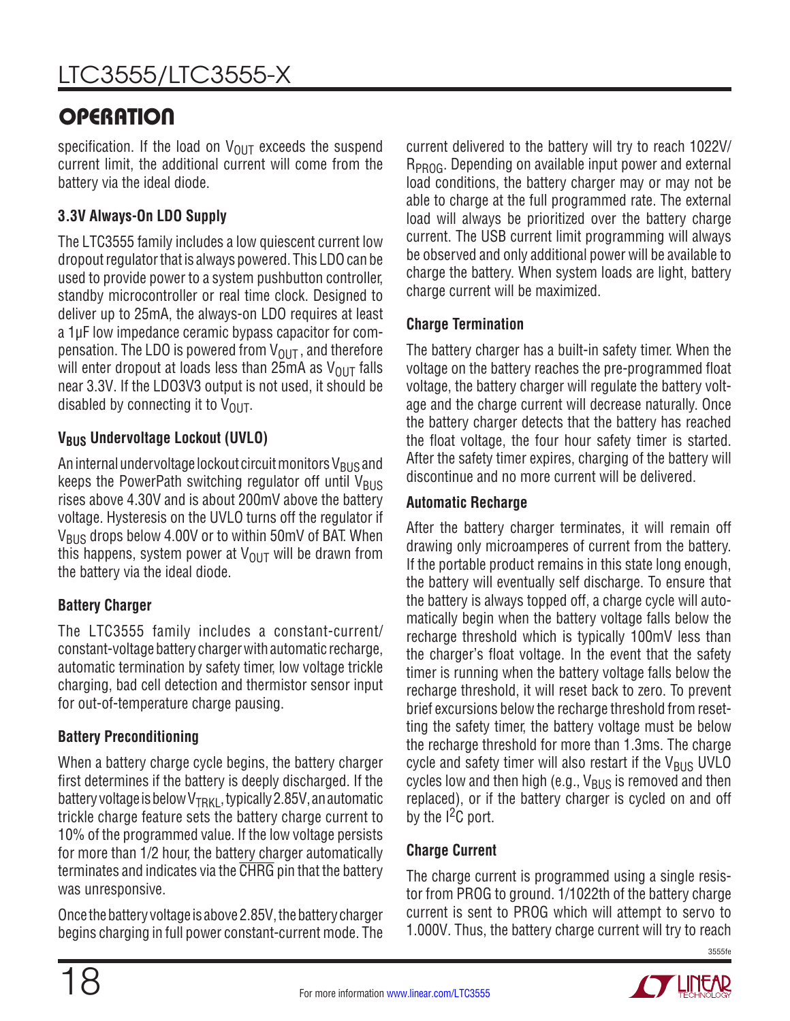specification. If the load on  $V_{OIIT}$  exceeds the suspend current limit, the additional current will come from the battery via the ideal diode.

## **3.3V Always-On LDO Supply**

The LTC3555 family includes a low quiescent current low dropout regulator that is always powered. This LDO can be used to provide power to a system pushbutton controller, standby microcontroller or real time clock. Designed to deliver up to 25mA, the always-on LDO requires at least a 1µF low impedance ceramic bypass capacitor for compensation. The LDO is powered from  $V_{OUT}$ , and therefore will enter dropout at loads less than 25mA as  $V_{OUT}$  falls near 3.3V. If the LDO3V3 output is not used, it should be disabled by connecting it to  $V_{\text{OUT}}$ .

## **V<sub>BUS</sub> Undervoltage Lockout (UVLO)**

An internal undervoltage lockout circuit monitors  $V_{BUS}$  and keeps the PowerPath switching regulator off until  $V_{BUS}$ rises above 4.30V and is about 200mV above the battery voltage. Hysteresis on the UVLO turns off the regulator if  $V_{\rm BUS}$  drops below 4.00V or to within 50mV of BAT. When this happens, system power at  $V_{\text{OUT}}$  will be drawn from the battery via the ideal diode.

## **Battery Charger**

The LTC3555 family includes a constant-current/ constant-voltage battery charger with automatic recharge, automatic termination by safety timer, low voltage trickle charging, bad cell detection and thermistor sensor input for out-of-temperature charge pausing.

## **Battery Preconditioning**

When a battery charge cycle begins, the battery charger first determines if the battery is deeply discharged. If the battery voltage is below  $V_{TRKI}$ , typically 2.85V, an automatic trickle charge feature sets the battery charge current to 10% of the programmed value. If the low voltage persists for more than 1/2 hour, the battery charger automatically terminates and indicates via the CHRG pin that the battery was unresponsive.

Once the battery voltage is above 2.85V, the battery charger begins charging in full power constant-current mode. The current delivered to the battery will try to reach 1022V/ R<sub>PROG</sub>. Depending on available input power and external load conditions, the battery charger may or may not be able to charge at the full programmed rate. The external load will always be prioritized over the battery charge current. The USB current limit programming will always be observed and only additional power will be available to charge the battery. When system loads are light, battery charge current will be maximized.

## **Charge Termination**

The battery charger has a built-in safety timer. When the voltage on the battery reaches the pre-programmed float voltage, the battery charger will regulate the battery voltage and the charge current will decrease naturally. Once the battery charger detects that the battery has reached the float voltage, the four hour safety timer is started. After the safety timer expires, charging of the battery will discontinue and no more current will be delivered.

### **Automatic Recharge**

After the battery charger terminates, it will remain off drawing only microamperes of current from the battery. If the portable product remains in this state long enough, the battery will eventually self discharge. To ensure that the battery is always topped off, a charge cycle will automatically begin when the battery voltage falls below the recharge threshold which is typically 100mV less than the charger's float voltage. In the event that the safety timer is running when the battery voltage falls below the recharge threshold, it will reset back to zero. To prevent brief excursions below the recharge threshold from resetting the safety timer, the battery voltage must be below the recharge threshold for more than 1.3ms. The charge cycle and safety timer will also restart if the  $V_{\text{BUS}}$  UVLO cycles low and then high (e.g.,  $V_{\text{BUS}}$  is removed and then replaced), or if the battery charger is cycled on and off by the  $1<sup>2</sup>C$  port.

## **Charge Current**

The charge current is programmed using a single resistor from PROG to ground. 1/1022th of the battery charge current is sent to PROG which will attempt to servo to 1.000V. Thus, the battery charge current will try to reach

![](_page_17_Picture_22.jpeg)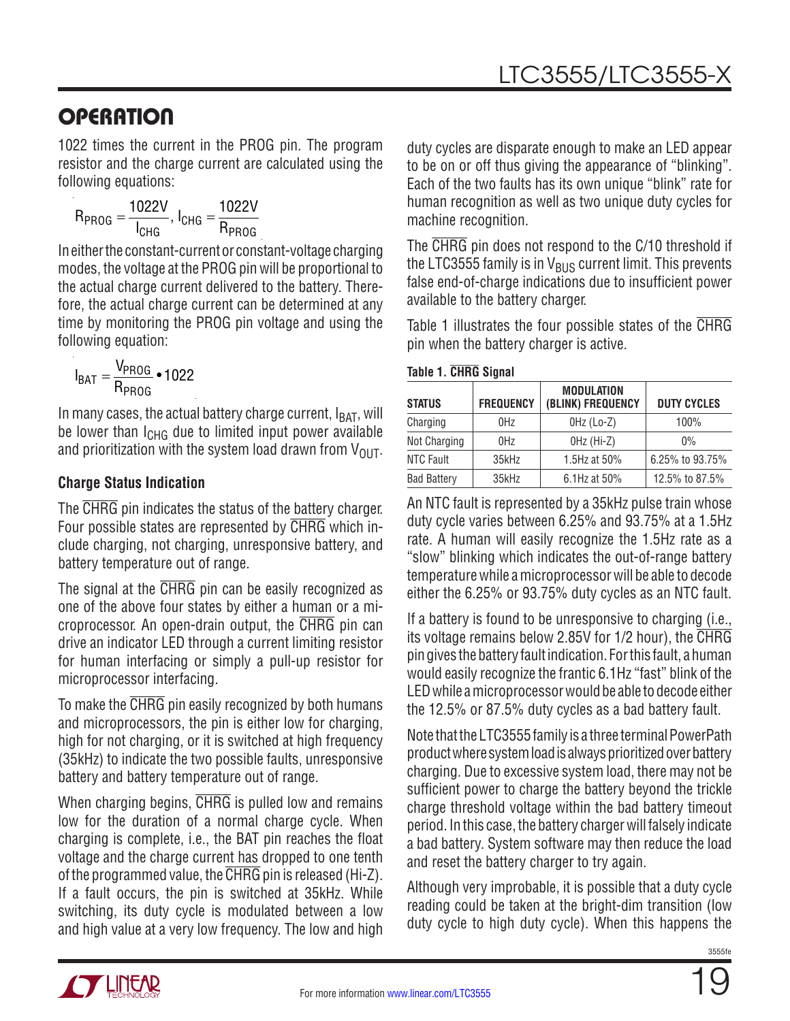1022 times the current in the PROG pin. The program resistor and the charge current are calculated using the following equations:

$$
R_{PROG} = \frac{1022V}{I_{CHG}}, I_{CHG} = \frac{1022V}{R_{PROG}}
$$

In either the constant-current or constant-voltage charging modes, the voltage at the PROG pin will be proportional to the actual charge current delivered to the battery. Therefore, the actual charge current can be determined at any time by monitoring the PROG pin voltage and using the following equation:

$$
I_{BAT} = \frac{V_{PROG}}{R_{PROG}} \cdot 1022
$$

In many cases, the actual battery charge current,  $I_{BAT}$ , will be lower than  $I_{CHG}$  due to limited input power available and prioritization with the system load drawn from  $V_{\text{OUT}}$ .

### **Charge Status Indication**

The CHRG pin indicates the status of the battery charger. Four possible states are represented by CHRG which include charging, not charging, unresponsive battery, and battery temperature out of range.

The signal at the CHRG pin can be easily recognized as one of the above four states by either a human or a microprocessor. An open-drain output, the CHRG pin can drive an indicator LED through a current limiting resistor for human interfacing or simply a pull-up resistor for microprocessor interfacing.

To make the CHRG pin easily recognized by both humans and microprocessors, the pin is either low for charging, high for not charging, or it is switched at high frequency (35kHz) to indicate the two possible faults, unresponsive battery and battery temperature out of range.

When charging begins, CHRG is pulled low and remains low for the duration of a normal charge cycle. When charging is complete, i.e., the BAT pin reaches the float voltage and the charge current has dropped to one tenth of the programmed value, the CHRG pin is released (Hi-Z). If a fault occurs, the pin is switched at 35kHz. While switching, its duty cycle is modulated between a low and high value at a very low frequency. The low and high

duty cycles are disparate enough to make an LED appear to be on or off thus giving the appearance of "blinking". Each of the two faults has its own unique "blink" rate for human recognition as well as two unique duty cycles for machine recognition.

The CHRG pin does not respond to the C/10 threshold if the LTC3555 family is in  $V_{\rm BUS}$  current limit. This prevents false end-of-charge indications due to insufficient power available to the battery charger.

Table 1 illustrates the four possible states of the CHRG pin when the battery charger is active.

#### **Table 1. CHRG Signal**

| <b>STATUS</b>      | <b>FREQUENCY</b> | <b>MODULATION</b><br>(BLINK) FREQUENCY | <b>DUTY CYCLES</b> |
|--------------------|------------------|----------------------------------------|--------------------|
| Charging           | 0Hz              | $OHz$ (Lo-Z)                           | 100%               |
| Not Charging       | 0Hz              | $OHz$ (Hi-Z)                           | $0\%$              |
| <b>NTC Fault</b>   | 35kHz            | 1.5Hz at 50%                           | 6.25% to 93.75%    |
| <b>Bad Battery</b> | 35kHz            | 6.1Hz at 50%                           | 12.5% to 87.5%     |

An NTC fault is represented by a 35kHz pulse train whose duty cycle varies between 6.25% and 93.75% at a 1.5Hz rate. A human will easily recognize the 1.5Hz rate as a "slow" blinking which indicates the out-of-range battery temperature while a microprocessor will be able to decode either the 6.25% or 93.75% duty cycles as an NTC fault.

If a battery is found to be unresponsive to charging (i.e., its voltage remains below 2.85V for 1/2 hour), the CHRG pin gives the battery fault indication. For this fault, a human would easily recognize the frantic 6.1Hz "fast" blink of the LED while a microprocessor would be able to decode either the 12.5% or 87.5% duty cycles as a bad battery fault.

Note that the LTC3555 family is a three terminal PowerPath product where system load is always prioritized over battery charging. Due to excessive system load, there may not be sufficient power to charge the battery beyond the trickle charge threshold voltage within the bad battery timeout period. In this case, the battery charger will falsely indicate a bad battery. System software may then reduce the load and reset the battery charger to try again.

Although very improbable, it is possible that a duty cycle reading could be taken at the bright-dim transition (low duty cycle to high duty cycle). When this happens the

![](_page_18_Picture_21.jpeg)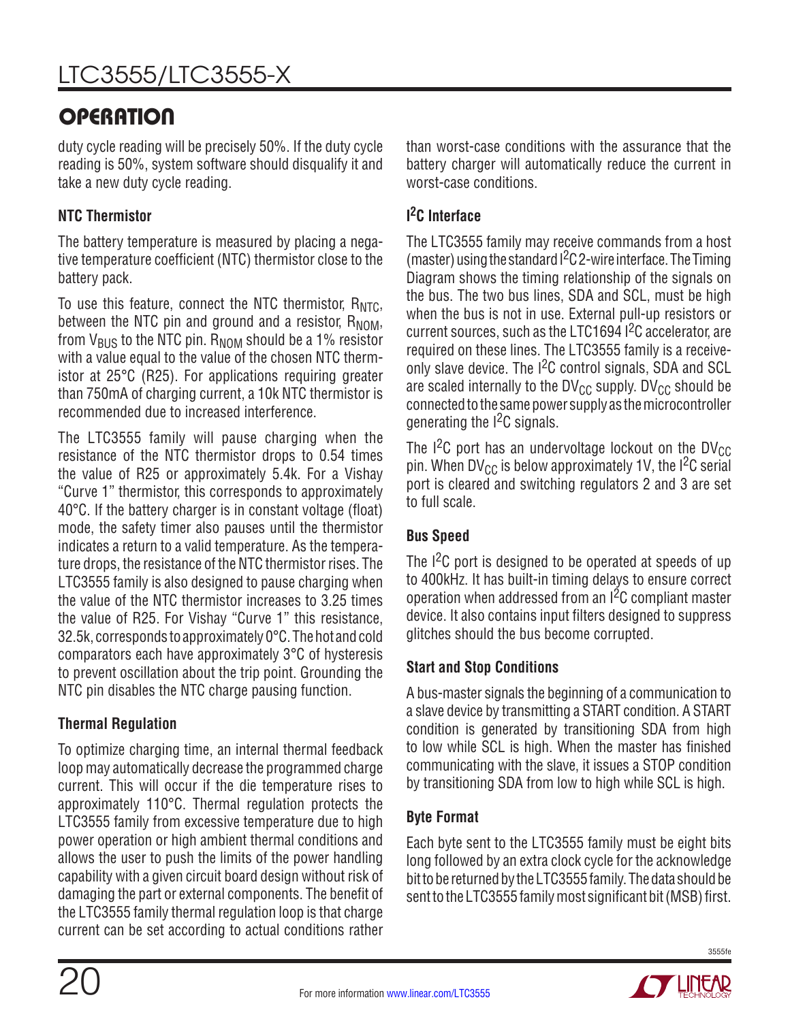duty cycle reading will be precisely 50%. If the duty cycle reading is 50%, system software should disqualify it and take a new duty cycle reading.

## **NTC Thermistor**

The battery temperature is measured by placing a negative temperature coefficient (NTC) thermistor close to the battery pack.

To use this feature, connect the NTC thermistor,  $R_{NTC}$ , between the NTC pin and ground and a resistor,  $R_{NOM}$ , from  $V_{BUS}$  to the NTC pin.  $R_{NOM}$  should be a 1% resistor with a value equal to the value of the chosen NTC thermistor at 25°C (R25). For applications requiring greater than 750mA of charging current, a 10k NTC thermistor is recommended due to increased interference.

The LTC3555 family will pause charging when the resistance of the NTC thermistor drops to 0.54 times the value of R25 or approximately 5.4k. For a Vishay "Curve 1" thermistor, this corresponds to approximately 40°C. If the battery charger is in constant voltage (float) mode, the safety timer also pauses until the thermistor indicates a return to a valid temperature. As the temperature drops, the resistance of the NTC thermistor rises. The LTC3555 family is also designed to pause charging when the value of the NTC thermistor increases to 3.25 times the value of R25. For Vishay "Curve 1" this resistance, 32.5k, corresponds to approximately 0°C. The hot and cold comparators each have approximately 3°C of hysteresis to prevent oscillation about the trip point. Grounding the NTC pin disables the NTC charge pausing function.

## **Thermal Regulation**

To optimize charging time, an internal thermal feedback loop may automatically decrease the programmed charge current. This will occur if the die temperature rises to approximately 110°C. Thermal regulation protects the LTC3555 family from excessive temperature due to high power operation or high ambient thermal conditions and allows the user to push the limits of the power handling capability with a given circuit board design without risk of damaging the part or external components. The benefit of the LTC3555 family thermal regulation loop is that charge current can be set according to actual conditions rather

than worst-case conditions with the assurance that the battery charger will automatically reduce the current in worst-case conditions.

### **I 2C Interface**

The LTC3555 family may receive commands from a host (master) using the standard  $1<sup>2</sup>C$  2-wire interface. The Timing Diagram shows the timing relationship of the signals on the bus. The two bus lines, SDA and SCL, must be high when the bus is not in use. External pull-up resistors or current sources, such as the LTC1694 I2C accelerator, are required on these lines. The LTC3555 family is a receiveonly slave device. The  $1^2C$  control signals, SDA and SCL are scaled internally to the DV $_{\text{CC}}$  supply. DV $_{\text{CC}}$  should be connected to the same power supply as the microcontroller generating the  $1<sup>2</sup>C$  signals.

The I<sup>2</sup>C port has an undervoltage lockout on the DV<sub>CC</sub> pin. When DV<sub>CC</sub> is below approximately 1V, the I<sup>2</sup>C serial port is cleared and switching regulators 2 and 3 are set to full scale.

### **Bus Speed**

The  $1^2C$  port is designed to be operated at speeds of up to 400kHz. It has built-in timing delays to ensure correct operation when addressed from an I2C compliant master device. It also contains input filters designed to suppress glitches should the bus become corrupted.

## **Start and Stop Conditions**

A bus-master signals the beginning of a communication to a slave device by transmitting a START condition. A START condition is generated by transitioning SDA from high to low while SCL is high. When the master has finished communicating with the slave, it issues a STOP condition by transitioning SDA from low to high while SCL is high.

### **Byte Format**

Each byte sent to the LTC3555 family must be eight bits long followed by an extra clock cycle for the acknowledge bit to be returned by the LTC3555 family. The data should be sent to the LTC3555 family most significant bit (MSB) first.

![](_page_19_Picture_19.jpeg)

![](_page_19_Picture_22.jpeg)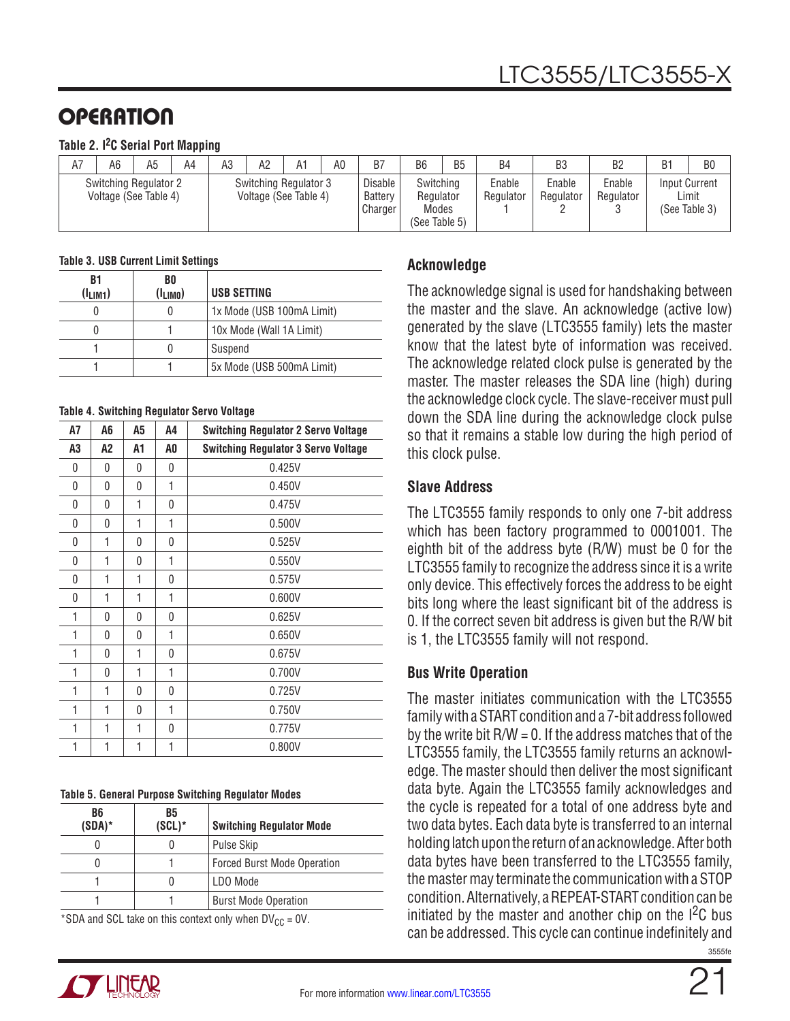#### **Table 2. I2C Serial Port Mapping**

| A7 | A <sub>6</sub>                                        | A <sub>5</sub> | A4 | A3 | A2                                             | A1 | A0 | B7                                   | B <sub>6</sub>                                   | B <sub>5</sub> | B4                  | B <sub>3</sub>      | B2                  | B <sub>1</sub> | B <sub>0</sub>                                 |
|----|-------------------------------------------------------|----------------|----|----|------------------------------------------------|----|----|--------------------------------------|--------------------------------------------------|----------------|---------------------|---------------------|---------------------|----------------|------------------------------------------------|
|    | <b>Switching Regulator 2</b><br>Voltage (See Table 4) |                |    |    | Switching Regulator 3<br>Voltage (See Table 4) |    |    | <b>Disable</b><br>Battery<br>Charger | Switching<br>Regulator<br>Modes<br>(See Table 5) |                | Enable<br>Regulator | Enable<br>Regulator | Enable<br>Regulator |                | <b>Input Current</b><br>Limit<br>(See Table 3) |

#### **Table 3. USB Current Limit Settings**

| B1<br>$(I_{LIM1})$ | BO<br>$(I_{LIMO})$ | USB SETTING               |
|--------------------|--------------------|---------------------------|
|                    |                    | 1x Mode (USB 100mA Limit) |
|                    |                    | 10x Mode (Wall 1A Limit)  |
|                    |                    | Suspend                   |
|                    |                    | 5x Mode (USB 500mA Limit) |

#### **Table 4. Switching Regulator Servo Voltage**

| А7 | A6       | A5       | A4       | <b>Switching Regulator 2 Servo Voltage</b> |
|----|----------|----------|----------|--------------------------------------------|
| A3 | A2       | А1       | A0       | <b>Switching Regulator 3 Servo Voltage</b> |
| 0  | 0        | 0        | 0        | 0.425V                                     |
| 0  | 0        | 0        | 1        | 0.450V                                     |
| 0  | 0        | 1        | 0        | 0.475V                                     |
| 0  | $\Omega$ | 1        | 1        | 0.500V                                     |
| 0  | 1        | $\Omega$ | $\Omega$ | 0.525V                                     |
| 0  | 1        | 0        | 1        | 0.550V                                     |
| 0  | 1        | 1        | $\Omega$ | 0.575V                                     |
| 0  | 1        | 1        | 1        | 0.600V                                     |
| 1  | 0        | 0        | 0        | 0.625V                                     |
| 1  | 0        | 0        | 1        | 0.650V                                     |
| 1  | 0        | 1        | $\Omega$ | 0.675V                                     |
| 1  | 0        | 1        | 1        | 0.700V                                     |
| 1  | 1        | 0        | 0        | 0.725V                                     |
| 1  | 1        | 0        | 1        | 0.750V                                     |
| 1  | 1        | 1        | 0        | 0.775V                                     |
| 1  | 1        | 1        | 1        | 0.800V                                     |

#### **Table 5. General Purpose Switching Regulator Modes**

| B6<br>$(SDA)^*$ | B5<br>$(SCL)^*$ | <b>Switching Regulator Mode</b>    |
|-----------------|-----------------|------------------------------------|
|                 |                 | Pulse Skip                         |
|                 |                 | <b>Forced Burst Mode Operation</b> |
|                 |                 | LDO Mode                           |
|                 |                 | <b>Burst Mode Operation</b>        |

\*SDA and SCL take on this context only when  $DV_{CC} = 0V$ .

### **Acknowledge**

The acknowledge signal is used for handshaking between the master and the slave. An acknowledge (active low) generated by the slave (LTC3555 family) lets the master know that the latest byte of information was received. The acknowledge related clock pulse is generated by the master. The master releases the SDA line (high) during the acknowledge clock cycle. The slave-receiver must pull down the SDA line during the acknowledge clock pulse so that it remains a stable low during the high period of this clock pulse.

#### **Slave Address**

The LTC3555 family responds to only one 7-bit address which has been factory programmed to 0001001. The eighth bit of the address byte (R/W) must be 0 for the LTC3555 family to recognize the address since it is a write only device. This effectively forces the address to be eight bits long where the least significant bit of the address is 0. If the correct seven bit address is given but the R/W bit is 1, the LTC3555 family will not respond.

#### **Bus Write Operation**

3555fe The master initiates communication with the LTC3555 family with a START condition and a 7-bit address followed by the write bit  $R/W = 0$ . If the address matches that of the LTC3555 family, the LTC3555 family returns an acknowledge. The master should then deliver the most significant data byte. Again the LTC3555 family acknowledges and the cycle is repeated for a total of one address byte and two data bytes. Each data byte is transferred to an internal holding latch upon the return of an acknowledge. After both data bytes have been transferred to the LTC3555 family, the master may terminate the communication with a STOP condition. Alternatively, a REPEAT-START condition can be initiated by the master and another chip on the  $1^2C$  bus can be addressed. This cycle can continue indefinitely and

![](_page_20_Picture_17.jpeg)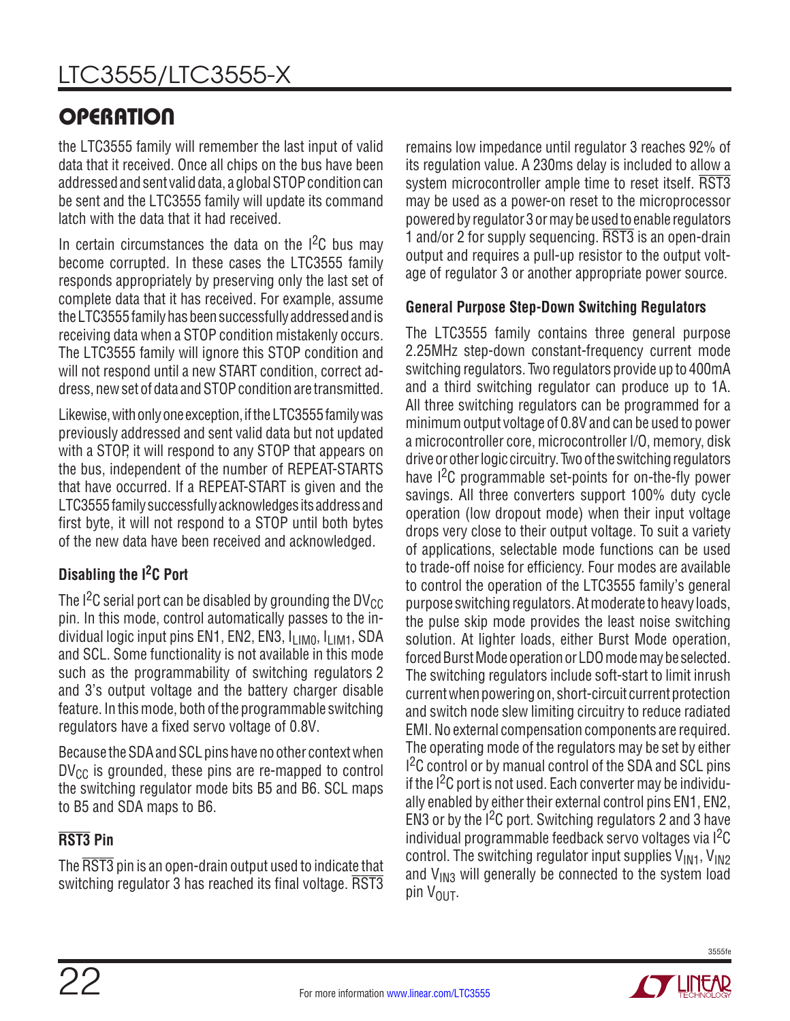the LTC3555 family will remember the last input of valid data that it received. Once all chips on the bus have been addressed and sent valid data, a global STOP condition can be sent and the LTC3555 family will update its command latch with the data that it had received.

In certain circumstances the data on the  $12C$  bus may become corrupted. In these cases the LTC3555 family responds appropriately by preserving only the last set of complete data that it has received. For example, assume the LTC3555 family has been successfully addressed and is receiving data when a STOP condition mistakenly occurs. The LTC3555 family will ignore this STOP condition and will not respond until a new START condition, correct address, new set of data and STOP condition are transmitted.

Likewise, with only one exception, if the LTC3555 family was previously addressed and sent valid data but not updated with a STOP, it will respond to any STOP that appears on the bus, independent of the number of REPEAT-STARTS that have occurred. If a REPEAT-START is given and the LTC3555 family successfully acknowledges its address and first byte, it will not respond to a STOP until both bytes of the new data have been received and acknowledged.

## **Disabling the I2C Port**

The I<sup>2</sup>C serial port can be disabled by grounding the DV<sub>CC</sub> pin. In this mode, control automatically passes to the individual logic input pins EN1, EN2, EN3,  $I_{LIM0}$ ,  $I_{LIM1}$ , SDA and SCL. Some functionality is not available in this mode such as the programmability of switching regulators 2 and 3's output voltage and the battery charger disable feature. In this mode, both of the programmable switching regulators have a fixed servo voltage of 0.8V.

Because the SDA and SCL pins have no other context when  $DV_{CC}$  is grounded, these pins are re-mapped to control the switching regulator mode bits B5 and B6. SCL maps to B5 and SDA maps to B6.

## **RST3 Pin**

The RST3 pin is an open-drain output used to indicate that switching regulator 3 has reached its final voltage. RST3 remains low impedance until regulator 3 reaches 92% of its regulation value. A 230ms delay is included to allow a system microcontroller ample time to reset itself. RST3 may be used as a power-on reset to the microprocessor powered by regulator 3 or may be used to enable regulators 1 and/or 2 for supply sequencing. RST3 is an open-drain output and requires a pull-up resistor to the output voltage of regulator 3 or another appropriate power source.

### **General Purpose Step-Down Switching Regulators**

The LTC3555 family contains three general purpose 2.25MHz step-down constant-frequency current mode switching regulators. Two regulators provide up to 400mA and a third switching regulator can produce up to 1A. All three switching regulators can be programmed for a minimum output voltage of 0.8V and can be used to power a microcontroller core, microcontroller I/O, memory, disk drive or other logic circuitry. Two of the switching regulators have I<sup>2</sup>C programmable set-points for on-the-fly power savings. All three converters support 100% duty cycle operation (low dropout mode) when their input voltage drops very close to their output voltage. To suit a variety of applications, selectable mode functions can be used to trade-off noise for efficiency. Four modes are available to control the operation of the LTC3555 family's general purpose switching regulators. At moderate to heavy loads, the pulse skip mode provides the least noise switching solution. At lighter loads, either Burst Mode operation, forced Burst Mode operation or LDO mode may be selected. The switching regulators include soft-start to limit inrush current when powering on, short-circuit current protection and switch node slew limiting circuitry to reduce radiated EMI. No external compensation components are required. The operating mode of the regulators may be set by either  $1<sup>2</sup>C$  control or by manual control of the SDA and SCL pins if the  $1^2C$  port is not used. Each converter may be individually enabled by either their external control pins EN1, EN2, EN3 or by the  $1<sup>2</sup>C$  port. Switching regulators 2 and 3 have individual programmable feedback servo voltages via I2C control. The switching regulator input supplies  $V_{IM1}$ ,  $V_{IM2}$ and  $V_{1M3}$  will generally be connected to the system load pin V<sub>OUT</sub>.

![](_page_21_Picture_13.jpeg)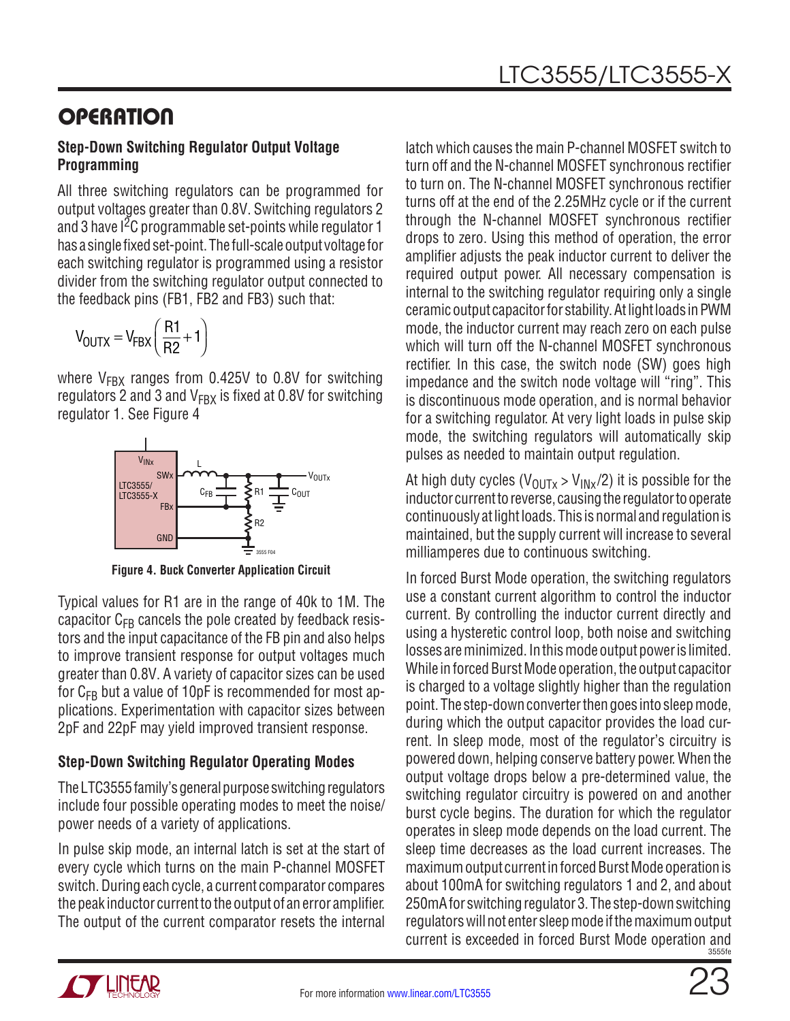#### **Step-Down Switching Regulator Output Voltage Programming**

All three switching regulators can be programmed for output voltages greater than 0.8V. Switching regulators 2 and 3 have  $1<sup>2</sup>C$  programmable set-points while regulator 1 has a single fixed set-point. The full-scale output voltage for each switching regulator is programmed using a resistor divider from the switching regulator output connected to the feedback pins (FB1, FB2 and FB3) such that:

$$
V_{\text{OUTX}} = V_{\text{FBX}} \left( \frac{R1}{R2} + 1 \right)
$$

where  $V_{FBX}$  ranges from 0.425V to 0.8V for switching regulators 2 and 3 and  $V_{FBX}$  is fixed at 0.8V for switching regulator 1. See Figure 4

![](_page_22_Figure_6.jpeg)

**Figure 4. Buck Converter Application Circuit**

Typical values for R1 are in the range of 40k to 1M. The capacitor  $C_{FR}$  cancels the pole created by feedback resistors and the input capacitance of the FB pin and also helps to improve transient response for output voltages much greater than 0.8V. A variety of capacitor sizes can be used for  $C_{FB}$  but a value of 10pF is recommended for most applications. Experimentation with capacitor sizes between 2pF and 22pF may yield improved transient response.

### **Step-Down Switching Regulator Operating Modes**

The LTC3555 family's general purpose switching regulators include four possible operating modes to meet the noise/ power needs of a variety of applications.

In pulse skip mode, an internal latch is set at the start of every cycle which turns on the main P-channel MOSFET switch. During each cycle, a current comparator compares the peak inductor current to the output of an error amplifier. The output of the current comparator resets the internal

latch which causes the main P-channel MOSFET switch to turn off and the N-channel MOSFET synchronous rectifier to turn on. The N-channel MOSFET synchronous rectifier turns off at the end of the 2.25MHz cycle or if the current through the N-channel MOSFET synchronous rectifier drops to zero. Using this method of operation, the error amplifier adjusts the peak inductor current to deliver the required output power. All necessary compensation is internal to the switching regulator requiring only a single ceramic output capacitor for stability. At light loads in PWM mode, the inductor current may reach zero on each pulse which will turn off the N-channel MOSFET synchronous rectifier. In this case, the switch node (SW) goes high impedance and the switch node voltage will "ring". This is discontinuous mode operation, and is normal behavior for a switching regulator. At very light loads in pulse skip mode, the switching regulators will automatically skip pulses as needed to maintain output regulation.

At high duty cycles ( $V_{\text{OUTX}} > V_{\text{INX}}/2$ ) it is possible for the inductor current to reverse, causing the regulator to operate continuously at light loads. This is normal and regulation is maintained, but the supply current will increase to several milliamperes due to continuous switching.

3555fe In forced Burst Mode operation, the switching regulators use a constant current algorithm to control the inductor current. By controlling the inductor current directly and using a hysteretic control loop, both noise and switching losses are minimized. In this mode output power is limited. While in forced Burst Mode operation, the output capacitor is charged to a voltage slightly higher than the regulation point. The step-down converter then goes into sleep mode, during which the output capacitor provides the load current. In sleep mode, most of the regulator's circuitry is powered down, helping conserve battery power. When the output voltage drops below a pre-determined value, the switching regulator circuitry is powered on and another burst cycle begins. The duration for which the regulator operates in sleep mode depends on the load current. The sleep time decreases as the load current increases. The maximum output current in forced Burst Mode operation is about 100mA for switching regulators 1 and 2, and about 250mA for switching regulator 3. The step-down switching regulators will not enter sleep mode if the maximum output current is exceeded in forced Burst Mode operation and

![](_page_22_Picture_15.jpeg)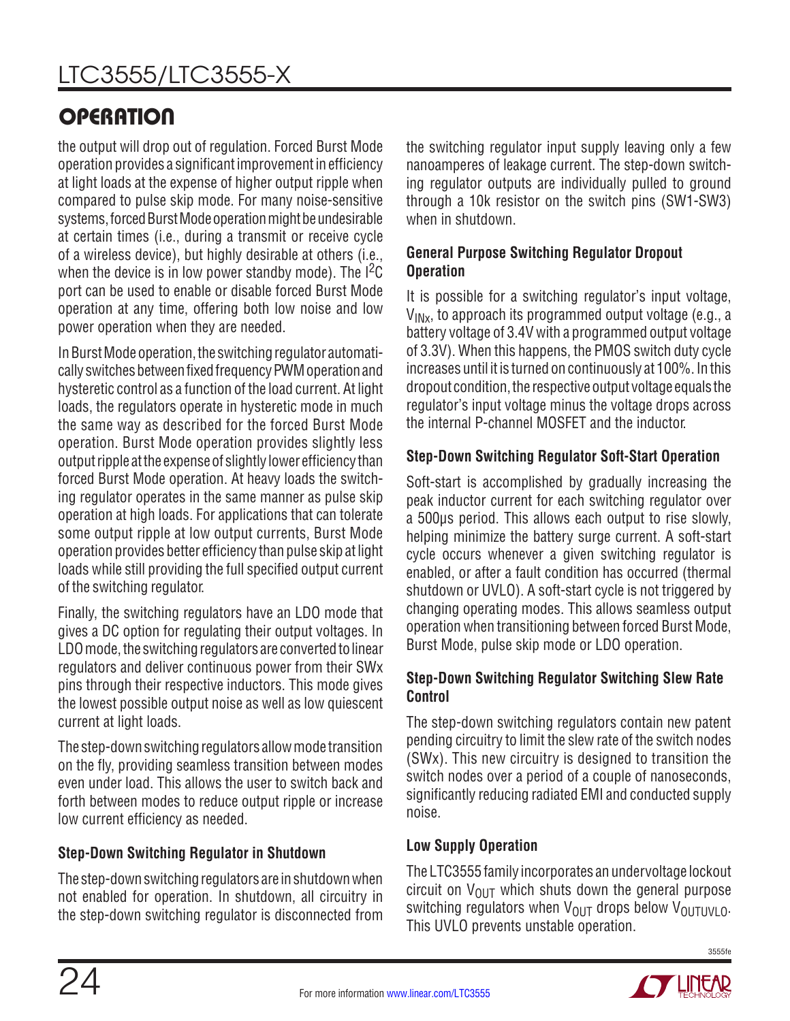the output will drop out of regulation. Forced Burst Mode operation provides a significant improvement in efficiency at light loads at the expense of higher output ripple when compared to pulse skip mode. For many noise-sensitive systems, forced Burst Mode operation might be undesirable at certain times (i.e., during a transmit or receive cycle of a wireless device), but highly desirable at others (i.e., when the device is in low power standby mode). The  $I^2C$ port can be used to enable or disable forced Burst Mode operation at any time, offering both low noise and low power operation when they are needed.

In Burst Mode operation, the switching regulator automatically switches between fixed frequency PWM operation and hysteretic control as a function of the load current. At light loads, the regulators operate in hysteretic mode in much the same way as described for the forced Burst Mode operation. Burst Mode operation provides slightly less output ripple at the expense of slightly lower efficiency than forced Burst Mode operation. At heavy loads the switching regulator operates in the same manner as pulse skip operation at high loads. For applications that can tolerate some output ripple at low output currents, Burst Mode operation provides better efficiency than pulse skip at light loads while still providing the full specified output current of the switching regulator.

Finally, the switching regulators have an LDO mode that gives a DC option for regulating their output voltages. In LDO mode, the switching regulators are converted to linear regulators and deliver continuous power from their SWx pins through their respective inductors. This mode gives the lowest possible output noise as well as low quiescent current at light loads.

The step-down switching regulators allow mode transition on the fly, providing seamless transition between modes even under load. This allows the user to switch back and forth between modes to reduce output ripple or increase low current efficiency as needed.

## **Step-Down Switching Regulator in Shutdown**

The step-down switching regulators are in shutdown when not enabled for operation. In shutdown, all circuitry in the step-down switching regulator is disconnected from

the switching regulator input supply leaving only a few nanoamperes of leakage current. The step-down switching regulator outputs are individually pulled to ground through a 10k resistor on the switch pins (SW1-SW3) when in shutdown.

### **General Purpose Switching Regulator Dropout Operation**

It is possible for a switching regulator's input voltage,  $V_{INx}$ , to approach its programmed output voltage (e.g., a battery voltage of 3.4V with a programmed output voltage of 3.3V). When this happens, the PMOS switch duty cycle increases until it is turned on continuously at 100%. In this dropout condition, the respective output voltage equals the regulator's input voltage minus the voltage drops across the internal P-channel MOSFET and the inductor.

### **Step-Down Switching Regulator Soft-Start Operation**

Soft-start is accomplished by gradually increasing the peak inductor current for each switching regulator over a 500μs period. This allows each output to rise slowly, helping minimize the battery surge current. A soft-start cycle occurs whenever a given switching regulator is enabled, or after a fault condition has occurred (thermal shutdown or UVLO). A soft-start cycle is not triggered by changing operating modes. This allows seamless output operation when transitioning between forced Burst Mode, Burst Mode, pulse skip mode or LDO operation.

### **Step-Down Switching Regulator Switching Slew Rate Control**

The step-down switching regulators contain new patent pending circuitry to limit the slew rate of the switch nodes (SWx). This new circuitry is designed to transition the switch nodes over a period of a couple of nanoseconds, significantly reducing radiated EMI and conducted supply noise.

### **Low Supply Operation**

The LTC3555 family incorporates an undervoltage lockout circuit on  $V_{\text{OUT}}$  which shuts down the general purpose switching regulators when  $V_{\text{OUT}}$  drops below  $V_{\text{OUTUV}}$   $_0$ . This UVLO prevents unstable operation.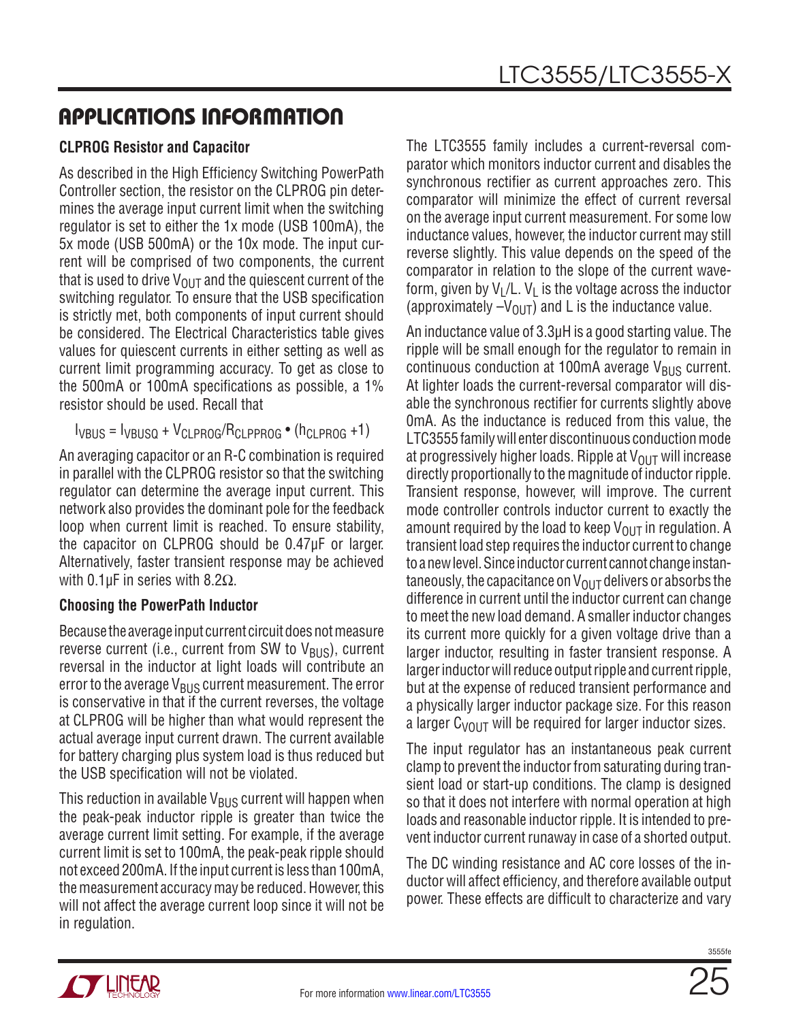### **CLPROG Resistor and Capacitor**

As described in the High Efficiency Switching PowerPath Controller section, the resistor on the CLPROG pin determines the average input current limit when the switching regulator is set to either the 1x mode (USB 100mA), the 5x mode (USB 500mA) or the 10x mode. The input current will be comprised of two components, the current that is used to drive  $V_{OUT}$  and the quiescent current of the switching regulator. To ensure that the USB specification is strictly met, both components of input current should be considered. The Electrical Characteristics table gives values for quiescent currents in either setting as well as current limit programming accuracy. To get as close to the 500mA or 100mA specifications as possible, a 1% resistor should be used. Recall that

```
I_{VBIIS} = I_{VBIISO} + V_{CI PROG}/R_{CI PPROG} (h<sub>CLPROG</sub> +1)
```
An averaging capacitor or an R-C combination is required in parallel with the CLPROG resistor so that the switching regulator can determine the average input current. This network also provides the dominant pole for the feedback loop when current limit is reached. To ensure stability, the capacitor on CLPROG should be 0.47µF or larger. Alternatively, faster transient response may be achieved with 0.1μF in series with 8.2 $Ω$ .

### **Choosing the PowerPath Inductor**

Because the average input current circuit does not measure reverse current (i.e., current from SW to  $V_{\rm RIS}$ ), current reversal in the inductor at light loads will contribute an error to the average  $V_{BUS}$  current measurement. The error is conservative in that if the current reverses, the voltage at CLPROG will be higher than what would represent the actual average input current drawn. The current available for battery charging plus system load is thus reduced but the USB specification will not be violated.

This reduction in available  $V_{BUS}$  current will happen when the peak-peak inductor ripple is greater than twice the average current limit setting. For example, if the average current limit is set to 100mA, the peak-peak ripple should not exceed 200mA. If the input current is less than 100mA, the measurement accuracy may be reduced. However, this will not affect the average current loop since it will not be in regulation.

The LTC3555 family includes a current-reversal comparator which monitors inductor current and disables the synchronous rectifier as current approaches zero. This comparator will minimize the effect of current reversal on the average input current measurement. For some low inductance values, however, the inductor current may still reverse slightly. This value depends on the speed of the comparator in relation to the slope of the current waveform, given by  $V_1/L$ .  $V_1$  is the voltage across the inductor (approximately  $-V_{\text{OUT}}$ ) and L is the inductance value.

An inductance value of 3.3μH is a good starting value. The ripple will be small enough for the regulator to remain in continuous conduction at 100mA average  $V_{BUS}$  current. At lighter loads the current-reversal comparator will disable the synchronous rectifier for currents slightly above 0mA. As the inductance is reduced from this value, the LTC3555 family will enter discontinuous conduction mode at progressively higher loads. Ripple at  $V_{OUT}$  will increase directly proportionally to the magnitude of inductor ripple. Transient response, however, will improve. The current mode controller controls inductor current to exactly the amount required by the load to keep  $V_{\text{OUT}}$  in regulation. A transient load step requires the inductor current to change to a new level. Since inductor current cannot change instantaneously, the capacitance on  $V_{\text{OUT}}$  delivers or absorbs the difference in current until the inductor current can change to meet the new load demand. A smaller inductor changes its current more quickly for a given voltage drive than a larger inductor, resulting in faster transient response. A larger inductor will reduce output ripple and current ripple, but at the expense of reduced transient performance and a physically larger inductor package size. For this reason a larger  $C_{VOUT}$  will be required for larger inductor sizes.

The input regulator has an instantaneous peak current clamp to prevent the inductor from saturating during transient load or start-up conditions. The clamp is designed so that it does not interfere with normal operation at high loads and reasonable inductor ripple. It is intended to prevent inductor current runaway in case of a shorted output.

The DC winding resistance and AC core losses of the inductor will affect efficiency, and therefore available output power. These effects are difficult to characterize and vary

![](_page_24_Picture_13.jpeg)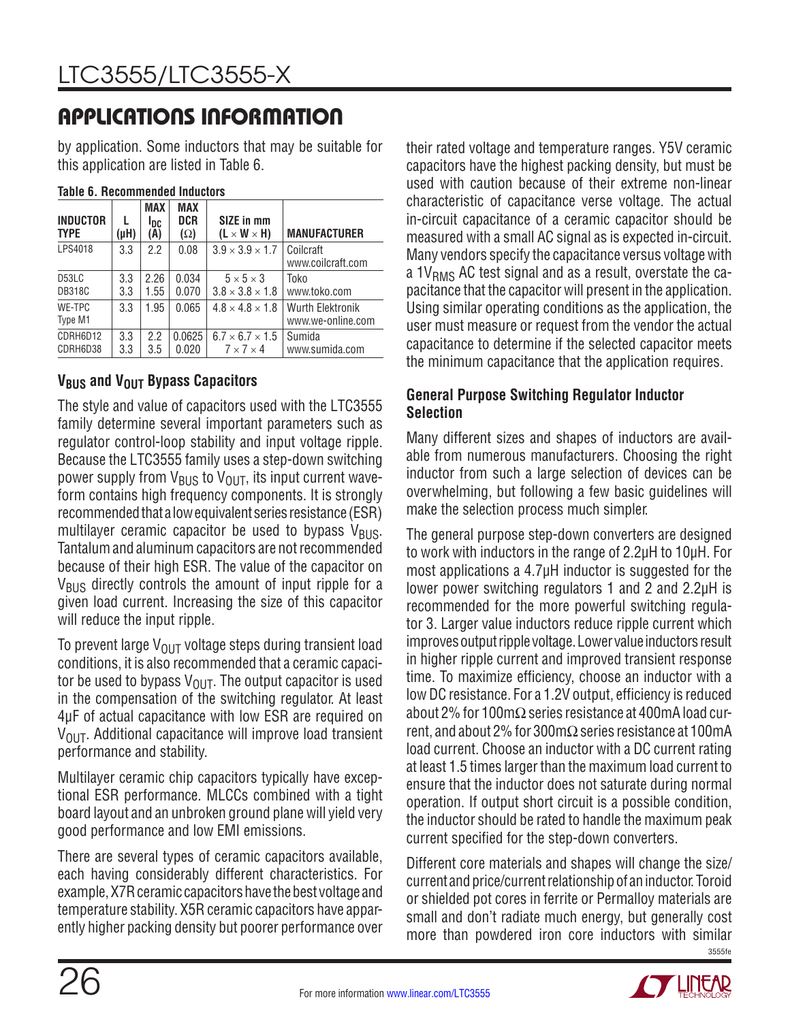by application. Some inductors that may be suitable for this application are listed in Table 6.

| <b>INDUCTOR</b><br><b>TYPE</b>      | L<br>(µH)  | <b>MAX</b><br><b>I</b> DC<br>(A) | <b>MAX</b><br><b>DCR</b><br>$(\Omega)$ | SIZE in mm<br>$(L \times W \times H)$                | <b>MANUFACTURER</b>                          |
|-------------------------------------|------------|----------------------------------|----------------------------------------|------------------------------------------------------|----------------------------------------------|
| LPS4018                             | 3.3        | 2.2                              | 0.08                                   | $3.9 \times 3.9 \times 1.7$                          | Coilcraft<br>www.coilcraft.com               |
| D <sub>53</sub> LC<br><b>DB318C</b> | 3.3<br>3.3 | 2.26<br>1.55                     | 0.034<br>0.070                         | $5 \times 5 \times 3$<br>$3.8 \times 3.8 \times 1.8$ | Toko<br>www.toko.com                         |
| WE-TPC<br>Type M1                   | 3.3        | 1.95                             | 0.065                                  | $4.8 \times 4.8 \times 1.8$                          | <b>Wurth Elektronik</b><br>www.we-online.com |
| CDRH6D12<br>CDRH6D38                | 3.3<br>3.3 | 2.2<br>3.5                       | 0.0625<br>0.020                        | $6.7 \times 6.7 \times 1.5$<br>$7 \times 7 \times 4$ | Sumida<br>www.sumida.com                     |

#### **Table 6. Recommended Inductors**

### **V<sub>BUS</sub>** and V<sub>OUT</sub> Bypass Capacitors

The style and value of capacitors used with the LTC3555 family determine several important parameters such as regulator control-loop stability and input voltage ripple. Because the LTC3555 family uses a step-down switching power supply from  $V_{BUS}$  to  $V_{OUT}$ , its input current waveform contains high frequency components. It is strongly recommended that a low equivalent series resistance (ESR) multilayer ceramic capacitor be used to bypass  $V_{\text{BUS}}$ . Tantalum and aluminum capacitors are not recommended because of their high ESR. The value of the capacitor on  $V_{\rm BUS}$  directly controls the amount of input ripple for a given load current. Increasing the size of this capacitor will reduce the input ripple.

To prevent large  $V_{OUT}$  voltage steps during transient load conditions, it is also recommended that a ceramic capacitor be used to bypass  $V_{\Omega I}$ . The output capacitor is used in the compensation of the switching regulator. At least 4μF of actual capacitance with low ESR are required on  $V<sub>OUT</sub>$ . Additional capacitance will improve load transient performance and stability.

Multilayer ceramic chip capacitors typically have exceptional ESR performance. MLCCs combined with a tight board layout and an unbroken ground plane will yield very good performance and low EMI emissions.

There are several types of ceramic capacitors available, each having considerably different characteristics. For example, X7R ceramic capacitors have the best voltage and temperature stability. X5R ceramic capacitors have apparently higher packing density but poorer performance over their rated voltage and temperature ranges. Y5V ceramic capacitors have the highest packing density, but must be used with caution because of their extreme non-linear characteristic of capacitance verse voltage. The actual in-circuit capacitance of a ceramic capacitor should be measured with a small AC signal as is expected in-circuit. Many vendors specify the capacitance versus voltage with a  $1V<sub>RMS</sub>$  AC test signal and as a result, overstate the capacitance that the capacitor will present in the application. Using similar operating conditions as the application, the user must measure or request from the vendor the actual capacitance to determine if the selected capacitor meets the minimum capacitance that the application requires.

### **General Purpose Switching Regulator Inductor Selection**

Many different sizes and shapes of inductors are available from numerous manufacturers. Choosing the right inductor from such a large selection of devices can be overwhelming, but following a few basic guidelines will make the selection process much simpler.

The general purpose step-down converters are designed to work with inductors in the range of 2.2µH to 10µH. For most applications a 4.7µH inductor is suggested for the lower power switching regulators 1 and 2 and 2.2µH is recommended for the more powerful switching regulator 3. Larger value inductors reduce ripple current which improves output ripple voltage. Lower value inductors result in higher ripple current and improved transient response time. To maximize efficiency, choose an inductor with a low DC resistance. For a 1.2V output, efficiency is reduced about 2% for 100mΩ series resistance at 400mA load current, and about 2% for 300mΩ series resistance at 100mA load current. Choose an inductor with a DC current rating at least 1.5 times larger than the maximum load current to ensure that the inductor does not saturate during normal operation. If output short circuit is a possible condition, the inductor should be rated to handle the maximum peak current specified for the step-down converters.

3555fe Different core materials and shapes will change the size/ current and price/current relationship of an inductor. Toroid or shielded pot cores in ferrite or Permalloy materials are small and don't radiate much energy, but generally cost more than powdered iron core inductors with similar

![](_page_25_Picture_17.jpeg)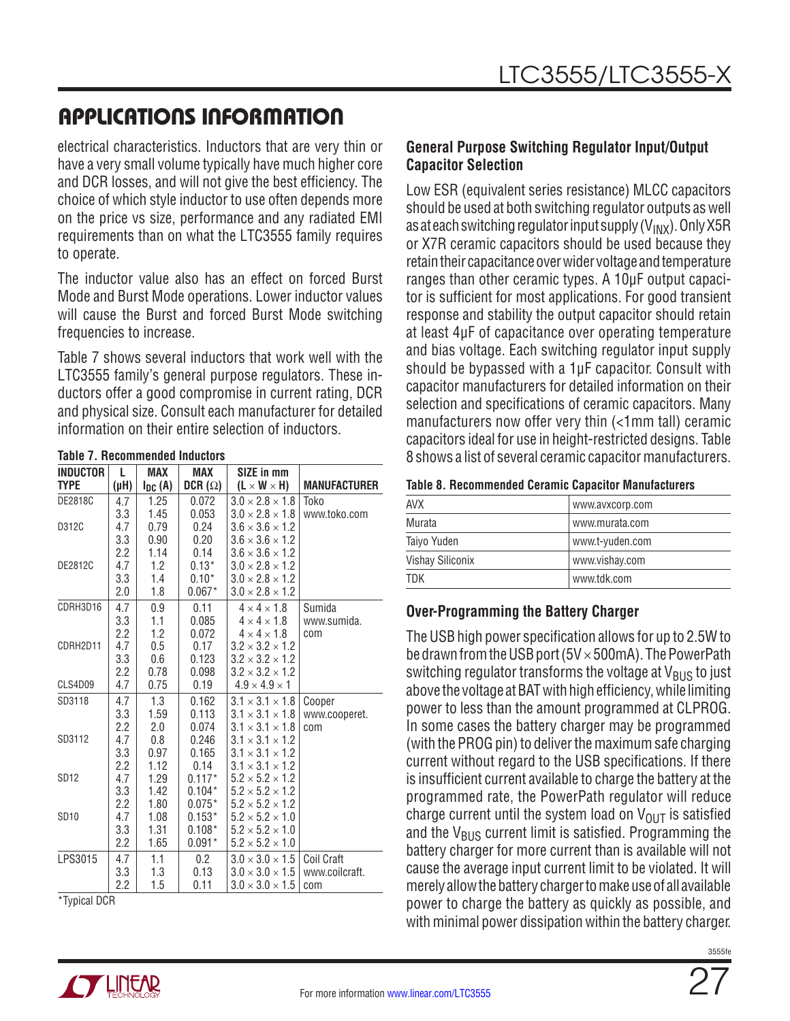electrical characteristics. Inductors that are very thin or have a very small volume typically have much higher core and DCR losses, and will not give the best efficiency. The choice of which style inductor to use often depends more on the price vs size, performance and any radiated EMI requirements than on what the LTC3555 family requires to operate.

The inductor value also has an effect on forced Burst Mode and Burst Mode operations. Lower inductor values will cause the Burst and forced Burst Mode switching frequencies to increase.

Table 7 shows several inductors that work well with the LTC3555 family's general purpose regulators. These inductors offer a good compromise in current rating, DCR and physical size. Consult each manufacturer for detailed information on their entire selection of inductors.

| <b>INDUCTOR</b> | L         | <b>MAX</b>  | MAX            | SIZE in mm                  |                     |
|-----------------|-----------|-------------|----------------|-----------------------------|---------------------|
| <b>TYPE</b>     | $(\mu H)$ | $I_{DC}(A)$ | DCR $(\Omega)$ | $(L \times W \times H)$     | <b>MANUFACTURER</b> |
| <b>DE2818C</b>  | 4.7       | 1.25        | 0.072          | $3.0 \times 2.8 \times 1.8$ | Toko                |
|                 | 3.3       | 1.45        | 0.053          | $3.0 \times 2.8 \times 1.8$ | www.toko.com        |
| D312C           | 4.7       | 0.79        | 0.24           | $3.6 \times 3.6 \times 1.2$ |                     |
|                 | 3.3       | 0.90        | 0.20           | $3.6 \times 3.6 \times 1.2$ |                     |
|                 | 2.2       | 1.14        | 0.14           | $3.6 \times 3.6 \times 1.2$ |                     |
| DE2812C         | 4.7       | 1.2         | $0.13*$        | $3.0 \times 2.8 \times 1.2$ |                     |
|                 | 3.3       | 1.4         | $0.10*$        | $3.0 \times 2.8 \times 1.2$ |                     |
|                 | 2.0       | 1.8         | $0.067*$       | $3.0 \times 2.8 \times 1.2$ |                     |
| CDRH3D16        | 4.7       | 0.9         | 0.11           | $4 \times 4 \times 1.8$     | Sumida              |
|                 | 3.3       | 1.1         | 0.085          | $4 \times 4 \times 1.8$     | www.sumida.         |
|                 | 2.2       | 1.2         | 0.072          | $4 \times 4 \times 1.8$     | com                 |
| CDRH2D11        | 4.7       | 0.5         | 0.17           | $3.2 \times 3.2 \times 1.2$ |                     |
|                 | 3.3       | 0.6         | 0.123          | $3.2 \times 3.2 \times 1.2$ |                     |
|                 | 2.2       | 0.78        | 0.098          | $3.2 \times 3.2 \times 1.2$ |                     |
| CLS4D09         | 4.7       | 0.75        | 0.19           | $4.9 \times 4.9 \times 1$   |                     |
| SD3118          | 4.7       | 1.3         | 0.162          | $3.1 \times 3.1 \times 1.8$ | Cooper              |
|                 | 3.3       | 1.59        | 0.113          | $3.1 \times 3.1 \times 1.8$ | www.cooperet.       |
|                 | 2.2       | 2.0         | 0.074          | $3.1 \times 3.1 \times 1.8$ | com                 |
| SD3112          | 4.7       | 0.8         | 0.246          | $3.1 \times 3.1 \times 1.2$ |                     |
|                 | 3.3       | 0.97        | 0.165          | $3.1 \times 3.1 \times 1.2$ |                     |
|                 | 2.2       | 1.12        | 0.14           | $3.1 \times 3.1 \times 1.2$ |                     |
| <b>SD12</b>     | 4.7       | 1.29        | $0.117*$       | $5.2 \times 5.2 \times 1.2$ |                     |
|                 | 3.3       | 1.42        | $0.104*$       | $5.2 \times 5.2 \times 1.2$ |                     |
|                 | 2.2       | 1.80        | $0.075*$       | $5.2 \times 5.2 \times 1.2$ |                     |
| <b>SD10</b>     | 4.7       | 1.08        | $0.153*$       | $5.2 \times 5.2 \times 1.0$ |                     |
|                 | 3.3       | 1.31        | $0.108*$       | $5.2 \times 5.2 \times 1.0$ |                     |
|                 | 2.2       | 1.65        | $0.091*$       | $5.2 \times 5.2 \times 1.0$ |                     |
| LPS3015         | 4.7       | 1.1         | 0.2            | $3.0 \times 3.0 \times 1.5$ | Coil Craft          |
|                 | 3.3       | 1.3         | 0.13           | $3.0 \times 3.0 \times 1.5$ | www.coilcraft.      |
|                 | 2.2       | 1.5         | 0.11           | $3.0 \times 3.0 \times 1.5$ | com                 |

**Table 7. Recommended Inductors**

\*Typical DCR

### **General Purpose Switching Regulator Input/Output Capacitor Selection**

Low ESR (equivalent series resistance) MLCC capacitors should be used at both switching regulator outputs as well as at each switching regulator input supply  $(V_{INX})$ . Only X5R or X7R ceramic capacitors should be used because they retain their capacitance over wider voltage and temperature ranges than other ceramic types. A 10μF output capacitor is sufficient for most applications. For good transient response and stability the output capacitor should retain at least 4μF of capacitance over operating temperature and bias voltage. Each switching regulator input supply should be bypassed with a 1μF capacitor. Consult with capacitor manufacturers for detailed information on their selection and specifications of ceramic capacitors. Many manufacturers now offer very thin (<1mm tall) ceramic capacitors ideal for use in height-restricted designs. Table 8 shows a list of several ceramic capacitor manufacturers.

|  |  | <b>Table 8. Recommended Ceramic Capacitor Manufacturers</b> |  |  |  |
|--|--|-------------------------------------------------------------|--|--|--|
|--|--|-------------------------------------------------------------|--|--|--|

| <b>AVX</b>       | www.avxcorp.com |
|------------------|-----------------|
| Murata           | www.murata.com  |
| Taiyo Yuden      | www.t-yuden.com |
| Vishay Siliconix | www.vishay.com  |
| <b>TDK</b>       | www.tdk.com     |

### **Over-Programming the Battery Charger**

The USB high power specification allows for up to 2.5W to be drawn from the USB port ( $5V \times 500$ mA). The PowerPath switching regulator transforms the voltage at  $V_{\rm BUS}$  to just above the voltage at BAT with high efficiency, while limiting power to less than the amount programmed at CLPROG. In some cases the battery charger may be programmed (with the PROG pin) to deliver the maximum safe charging current without regard to the USB specifications. If there is insufficient current available to charge the battery at the programmed rate, the PowerPath regulator will reduce charge current until the system load on  $V_{\text{OUT}}$  is satisfied and the  $V_{\text{BUS}}$  current limit is satisfied. Programming the battery charger for more current than is available will not cause the average input current limit to be violated. It will merely allow the battery charger to make use of all available power to charge the battery as quickly as possible, and with minimal power dissipation within the battery charger.

![](_page_26_Picture_14.jpeg)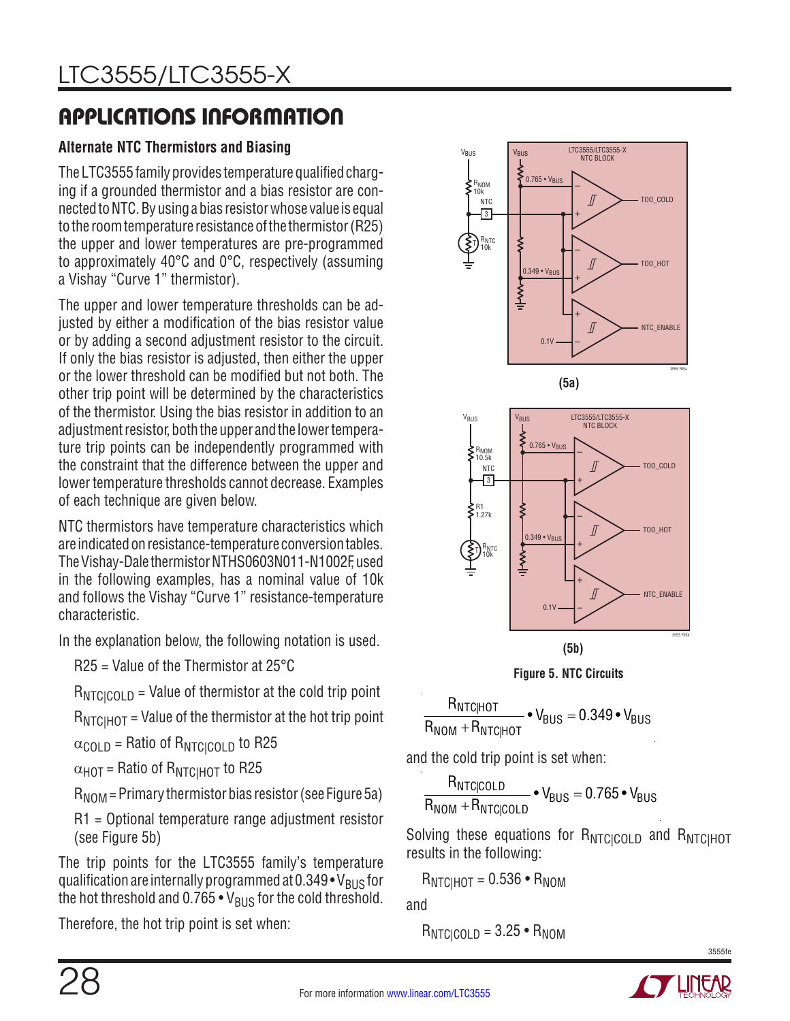## **Alternate NTC Thermistors and Biasing**

The LTC3555 family provides temperature qualified charging if a grounded thermistor and a bias resistor are connected to NTC. By using a bias resistor whose value is equal to the room temperature resistance of the thermistor (R25) the upper and lower temperatures are pre-programmed to approximately 40°C and 0°C, respectively (assuming a Vishay "Curve 1" thermistor).

The upper and lower temperature thresholds can be adjusted by either a modification of the bias resistor value or by adding a second adjustment resistor to the circuit. If only the bias resistor is adjusted, then either the upper or the lower threshold can be modified but not both. The other trip point will be determined by the characteristics of the thermistor. Using the bias resistor in addition to an adjustment resistor, both the upper and the lower temperature trip points can be independently programmed with the constraint that the difference between the upper and lower temperature thresholds cannot decrease. Examples of each technique are given below.

NTC thermistors have temperature characteristics which are indicated on resistance-temperature conversion tables. The Vishay-Dale thermistor NTHS0603N011-N1002F, used in the following examples, has a nominal value of 10k and follows the Vishay "Curve 1" resistance-temperature characteristic.

In the explanation below, the following notation is used.

R25 = Value of the Thermistor at 25°C

 $R_{NTCICOLD}$  = Value of thermistor at the cold trip point

 $R_{\text{NTCHOT}}$  = Value of the thermistor at the hot trip point

 $\alpha_{\text{COLD}}$  = Ratio of  $R_{\text{NTC}(\text{COLD})}$  to R25

 $\alpha$ <sub>HOT</sub> = Ratio of  $R_{NTCIHOT}$  to R25

 $R_{\text{NOM}}$  = Primary thermistor bias resistor (see Figure 5a)

R1 = Optional temperature range adjustment resistor (see Figure 5b)

The trip points for the LTC3555 family's temperature qualification are internally programmed at  $0.349 \cdot V_{\rm BUS}$  for the hot threshold and  $0.765 \cdot V_{\text{BUS}}$  for the cold threshold.

Therefore, the hot trip point is set when:

![](_page_27_Figure_16.jpeg)

![](_page_27_Figure_17.jpeg)

![](_page_27_Figure_18.jpeg)

**Figure 5. NTC Circuits**

 ${\sf R}_{\sf NTC|HOT}$  $R_{\text{NOM}} + R_{\text{NTC}|\text{HOT}}$  $\bullet$  V $_{\rm{BUS}}$   $=$  0.349  $\bullet$  V $_{\rm{BUS}}$ 

and the cold trip point is set when:

R<sub>NTCICOLD</sub>  $R_{NOM}$  +  $R_{NTC|COLD}$  $\bullet$  V $_{\rm{BUS}}$   $=$  0.765  $\bullet$  V $_{\rm{BUS}}$ 

Solving these equations for RNTCICOLD and RNTCIHOT results in the following:

$$
R_{NTC|HOT} = 0.536 \cdot R_{NOM}
$$

and

$$
R_{NTC|COLD} = 3.25 \cdot R_{NOM}
$$

![](_page_27_Picture_28.jpeg)

![](_page_27_Picture_30.jpeg)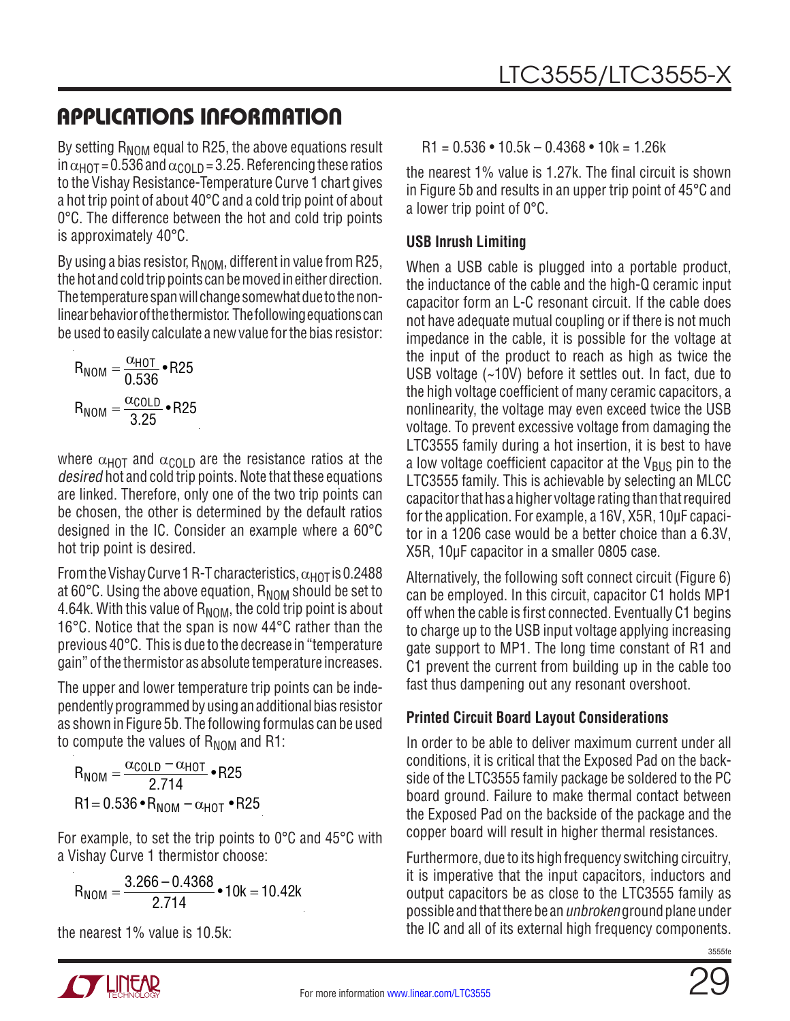By setting  $R_{\text{NOM}}$  equal to R25, the above equations result in  $\alpha_{HOT}$  = 0.536 and  $\alpha_{COL}$   $_D$  = 3.25. Referencing these ratios to the Vishay Resistance-Temperature Curve 1 chart gives a hot trip point of about 40°C and a cold trip point of about 0°C. The difference between the hot and cold trip points is approximately 40°C.

By using a bias resistor,  $R_{\text{NOM}}$ , different in value from R25, the hot and cold trip points can be moved in either direction. The temperature span will change somewhat due to the nonlinear behavior of the thermistor. The following equations can be used to easily calculate a new value for the bias resistor:

$$
R_{NOM} = \frac{\alpha_{HOT}}{0.536} \cdot R25
$$

$$
R_{NOM} = \frac{\alpha_{COLD}}{3.25} \cdot R25
$$

where  $\alpha_{\text{HOT}}$  and  $\alpha_{\text{COLD}}$  are the resistance ratios at the desired hot and cold trip points. Note that these equations are linked. Therefore, only one of the two trip points can be chosen, the other is determined by the default ratios designed in the IC. Consider an example where a 60°C hot trip point is desired.

From the Vishay Curve 1 R-T characteristics,  $\alpha_{\text{HOT}}$  is 0.2488 at  $60^{\circ}$ C. Using the above equation,  $R_{\text{NOM}}$  should be set to 4.64k. With this value of  $R_{\text{NOM}}$ , the cold trip point is about 16°C. Notice that the span is now 44°C rather than the previous 40°C. This is due to the decrease in "temperature gain" of the thermistor as absolute temperature increases.

The upper and lower temperature trip points can be independently programmed by using an additional bias resistor as shown in Figure 5b. The following formulas can be used to compute the values of  $R_{\text{NOM}}$  and R1:

$$
R_{NOM} = \frac{\alpha_{COLD} - \alpha_{HOT}}{2.714} \cdot R25
$$
  
R1 = 0.536 \cdot R\_{NOM} - \alpha\_{HOT} \cdot R25

For example, to set the trip points to 0°C and 45°C with a Vishay Curve 1 thermistor choose:

$$
R_{NOM} = \frac{3.266 - 0.4368}{2.714} \cdot 10k = 10.42k
$$

the nearest 1% value is 10.5k:

 $R1 = 0.536 \cdot 10.5k - 0.4368 \cdot 10k = 1.26k$ 

the nearest 1% value is 1.27k. The final circuit is shown in Figure 5b and results in an upper trip point of 45°C and a lower trip point of 0°C.

## **USB Inrush Limiting**

When a USB cable is plugged into a portable product, the inductance of the cable and the high-Q ceramic input capacitor form an L-C resonant circuit. If the cable does not have adequate mutual coupling or if there is not much impedance in the cable, it is possible for the voltage at the input of the product to reach as high as twice the USB voltage (~10V) before it settles out. In fact, due to the high voltage coefficient of many ceramic capacitors, a nonlinearity, the voltage may even exceed twice the USB voltage. To prevent excessive voltage from damaging the LTC3555 family during a hot insertion, it is best to have a low voltage coefficient capacitor at the  $V_{BUS}$  pin to the LTC3555 family. This is achievable by selecting an MLCC capacitor that has a higher voltage rating than that required for the application. For example, a 16V, X5R, 10µF capacitor in a 1206 case would be a better choice than a 6.3V, X5R, 10µF capacitor in a smaller 0805 case.

Alternatively, the following soft connect circuit (Figure 6) can be employed. In this circuit, capacitor C1 holds MP1 off when the cable is first connected. Eventually C1 begins to charge up to the USB input voltage applying increasing gate support to MP1. The long time constant of R1 and C1 prevent the current from building up in the cable too fast thus dampening out any resonant overshoot.

## **Printed Circuit Board Layout Considerations**

In order to be able to deliver maximum current under all conditions, it is critical that the Exposed Pad on the backside of the LTC3555 family package be soldered to the PC board ground. Failure to make thermal contact between the Exposed Pad on the backside of the package and the copper board will result in higher thermal resistances.

Furthermore, due to its high frequency switching circuitry, it is imperative that the input capacitors, inductors and output capacitors be as close to the LTC3555 family as possible and that there be an unbroken ground plane under the IC and all of its external high frequency components.

![](_page_28_Picture_21.jpeg)

![](_page_28_Picture_23.jpeg)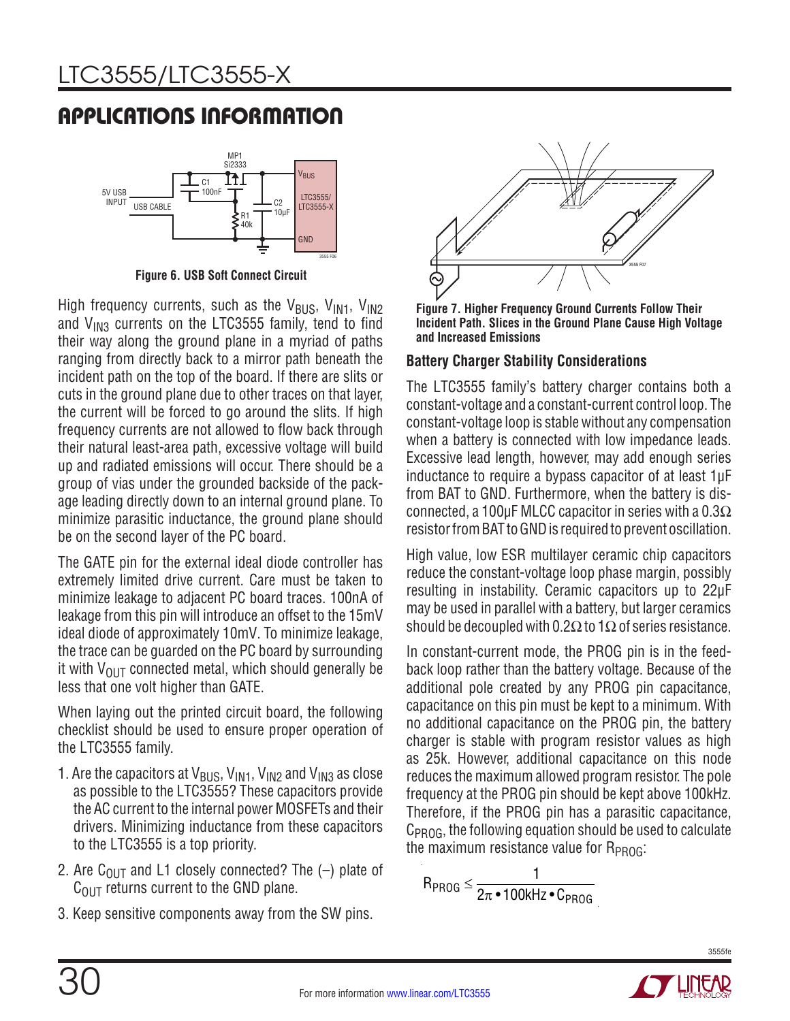![](_page_29_Figure_2.jpeg)

**Figure 6. USB Soft Connect Circuit**

High frequency currents, such as the  $V_{BUS}$ ,  $V_{IN1}$ ,  $V_{IN2}$ and  $V_{1N3}$  currents on the LTC3555 family, tend to find their way along the ground plane in a myriad of paths ranging from directly back to a mirror path beneath the incident path on the top of the board. If there are slits or cuts in the ground plane due to other traces on that layer, the current will be forced to go around the slits. If high frequency currents are not allowed to flow back through their natural least-area path, excessive voltage will build up and radiated emissions will occur. There should be a group of vias under the grounded backside of the package leading directly down to an internal ground plane. To minimize parasitic inductance, the ground plane should be on the second layer of the PC board.

The GATE pin for the external ideal diode controller has extremely limited drive current. Care must be taken to minimize leakage to adjacent PC board traces. 100nA of leakage from this pin will introduce an offset to the 15mV ideal diode of approximately 10mV. To minimize leakage, the trace can be guarded on the PC board by surrounding it with  $V_{\text{OUT}}$  connected metal, which should generally be less that one volt higher than GATE.

When laying out the printed circuit board, the following checklist should be used to ensure proper operation of the LTC3555 family.

- 1. Are the capacitors at  $V_{BUS}$ ,  $V_{IM1}$ ,  $V_{IN2}$  and  $V_{IN3}$  as close as possible to the LTC3555? These capacitors provide the AC current to the internal power MOSFETs and their drivers. Minimizing inductance from these capacitors to the LTC3555 is a top priority.
- 2. Are C<sub>OUT</sub> and L1 closely connected? The  $(-)$  plate of  $C<sub>OUT</sub>$  returns current to the GND plane.
- 3. Keep sensitive components away from the SW pins.

![](_page_29_Figure_10.jpeg)

**Figure 7. Higher Frequency Ground Currents Follow Their Incident Path. Slices in the Ground Plane Cause High Voltage and Increased Emissions**

### **Battery Charger Stability Considerations**

The LTC3555 family's battery charger contains both a constant-voltage and a constant-current control loop. The constant-voltage loop is stable without any compensation when a battery is connected with low impedance leads. Excessive lead length, however, may add enough series inductance to require a bypass capacitor of at least 1µF from BAT to GND. Furthermore, when the battery is disconnected, a 100uF MLCC capacitor in series with a  $0.3\Omega$ resistor from BAT to GND is required to prevent oscillation.

High value, low ESR multilayer ceramic chip capacitors reduce the constant-voltage loop phase margin, possibly resulting in instability. Ceramic capacitors up to 22µF may be used in parallel with a battery, but larger ceramics should be decoupled with 0.2 $\Omega$  to 1 $\Omega$  of series resistance.

In constant-current mode, the PROG pin is in the feedback loop rather than the battery voltage. Because of the additional pole created by any PROG pin capacitance, capacitance on this pin must be kept to a minimum. With no additional capacitance on the PROG pin, the battery charger is stable with program resistor values as high as 25k. However, additional capacitance on this node reduces the maximum allowed program resistor. The pole frequency at the PROG pin should be kept above 100kHz. Therefore, if the PROG pin has a parasitic capacitance, C<sub>PROG</sub>, the following equation should be used to calculate the maximum resistance value for  $R_{PROG}$ :

$$
R_{PROG} \leq \frac{1}{2\pi \cdot 100 \text{kHz} \cdot C_{PROG}}
$$

![](_page_29_Picture_17.jpeg)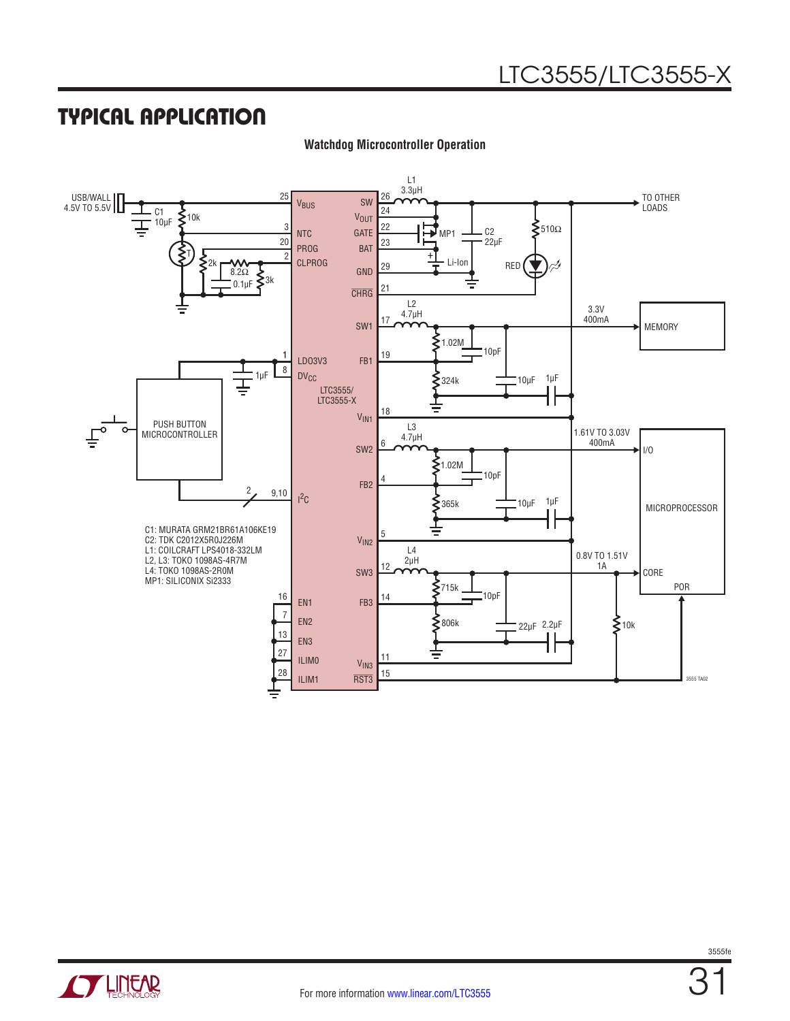## TYPICAL APPLICATION

![](_page_30_Figure_2.jpeg)

**Watchdog Microcontroller Operation**

![](_page_30_Picture_4.jpeg)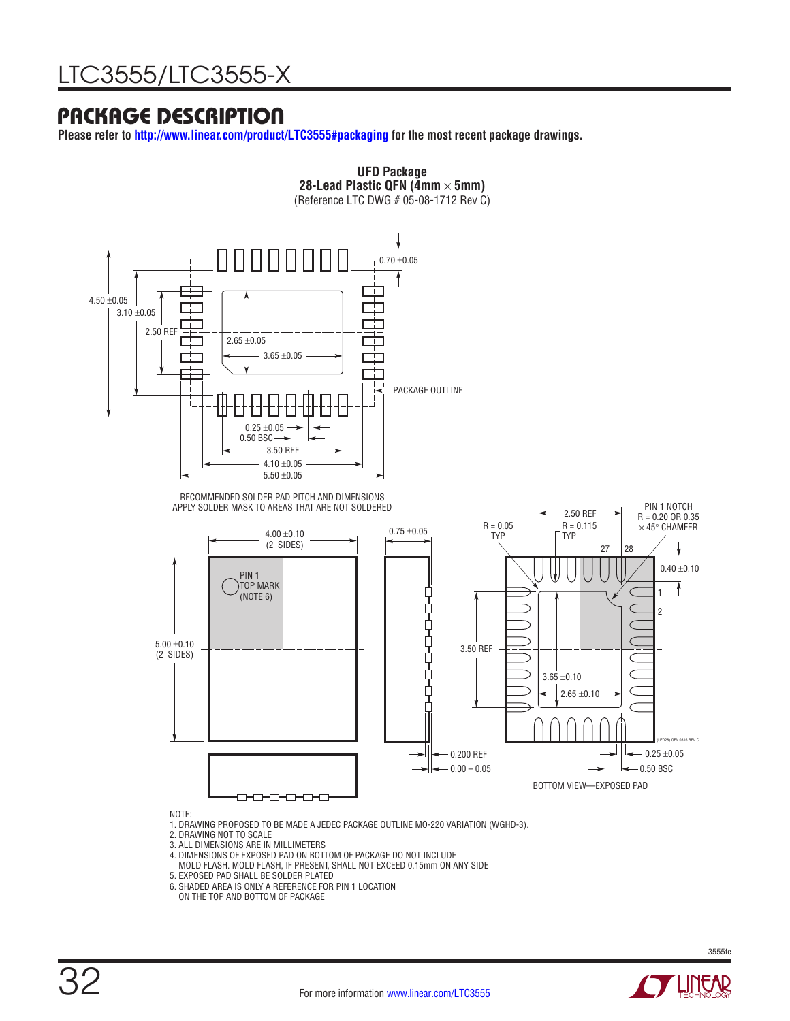## PACKAGE DESCRIPTION

**Please refer to<http://www.linear.com/product/LTC3555#packaging> for the most recent package drawings.**

![](_page_31_Figure_3.jpeg)

3. ALL DIMENSIONS ARE IN MILLIMETERS

- 4. DIMENSIONS OF EXPOSED PAD ON BOTTOM OF PACKAGE DO NOT INCLUDE
- MILINORIUS OF ENESSEE THE SITE OF ESTIMALE TO THE HISTORICIAL MOLD FLASH. IF PRESENT, SHALL NOT EXCEED 0.15mm ON ANY SIDE 5. EXPOSED PAD SHALL BE SOLDER PLATED
- 6. SHADED AREA IS ONLY A REFERENCE FOR PIN 1 LOCATION
- ON THE TOP AND BOTTOM OF PACKAGE

![](_page_31_Picture_10.jpeg)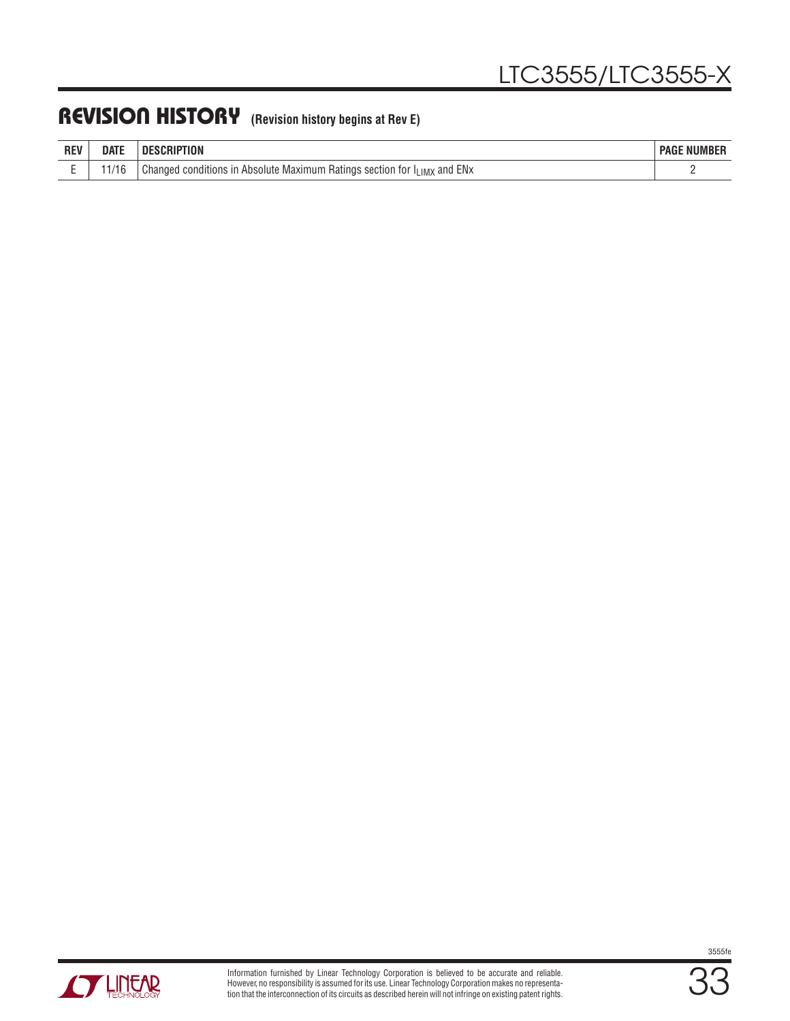## REVISION HISTORY **(Revision history begins at Rev E)**

| <b>REV</b> | <b>DATE</b>  | SCRIPTION<br>ш                                                                     | <b>NUMBER</b><br><b>PAGE</b> |
|------------|--------------|------------------------------------------------------------------------------------|------------------------------|
|            | 1/1G<br>1710 | ENx<br>Changed<br>and<br>l conditions in Absolute Maximum<br>n Ratings section for |                              |

![](_page_32_Picture_3.jpeg)